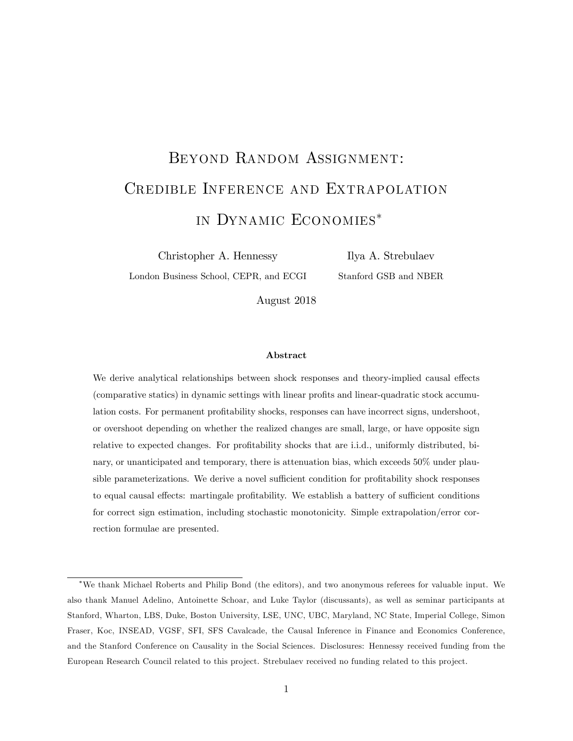# Beyond Random Assignment: Credible Inference and Extrapolation in Dynamic Economies

Christopher A. Hennessy

London Business School, CEPR, and ECGI

Ilya A. Strebulaev Stanford GSB and NBER

August 2018

### Abstract

We derive analytical relationships between shock responses and theory-implied causal effects (comparative statics) in dynamic settings with linear profits and linear-quadratic stock accumulation costs. For permanent profitability shocks, responses can have incorrect signs, undershoot, or overshoot depending on whether the realized changes are small, large, or have opposite sign relative to expected changes. For profitability shocks that are i.i.d., uniformly distributed, binary, or unanticipated and temporary, there is attenuation bias, which exceeds 50% under plausible parameterizations. We derive a novel sufficient condition for profitability shock responses to equal causal effects: martingale profitability. We establish a battery of sufficient conditions for correct sign estimation, including stochastic monotonicity. Simple extrapolation/error correction formulae are presented.

We thank Michael Roberts and Philip Bond (the editors), and two anonymous referees for valuable input. We also thank Manuel Adelino, Antoinette Schoar, and Luke Taylor (discussants), as well as seminar participants at Stanford, Wharton, LBS, Duke, Boston University, LSE, UNC, UBC, Maryland, NC State, Imperial College, Simon Fraser, Koc, INSEAD, VGSF, SFI, SFS Cavalcade, the Causal Inference in Finance and Economics Conference, and the Stanford Conference on Causality in the Social Sciences. Disclosures: Hennessy received funding from the European Research Council related to this project. Strebulaev received no funding related to this project.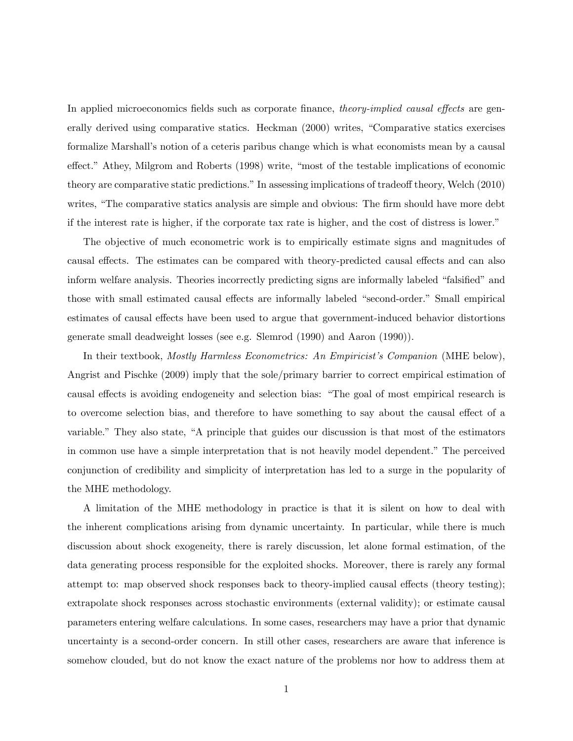In applied microeconomics fields such as corporate finance, theory-implied causal effects are generally derived using comparative statics. Heckman (2000) writes, "Comparative statics exercises formalize Marshall's notion of a ceteris paribus change which is what economists mean by a causal effect." Athey, Milgrom and Roberts (1998) write, "most of the testable implications of economic theory are comparative static predictions." In assessing implications of tradeoff theory, Welch (2010) writes, "The comparative statics analysis are simple and obvious: The firm should have more debt if the interest rate is higher, if the corporate tax rate is higher, and the cost of distress is lower."

The objective of much econometric work is to empirically estimate signs and magnitudes of causal effects. The estimates can be compared with theory-predicted causal effects and can also inform welfare analysis. Theories incorrectly predicting signs are informally labeled "falsified" and those with small estimated causal effects are informally labeled "second-order." Small empirical estimates of causal effects have been used to argue that government-induced behavior distortions generate small deadweight losses (see e.g. Slemrod (1990) and Aaron (1990)).

In their textbook, *Mostly Harmless Econometrics: An Empiricist's Companion* (MHE below), Angrist and Pischke (2009) imply that the sole/primary barrier to correct empirical estimation of causal effects is avoiding endogeneity and selection bias: "The goal of most empirical research is to overcome selection bias, and therefore to have something to say about the causal effect of a variable." They also state, "A principle that guides our discussion is that most of the estimators in common use have a simple interpretation that is not heavily model dependent.î The perceived conjunction of credibility and simplicity of interpretation has led to a surge in the popularity of the MHE methodology.

A limitation of the MHE methodology in practice is that it is silent on how to deal with the inherent complications arising from dynamic uncertainty. In particular, while there is much discussion about shock exogeneity, there is rarely discussion, let alone formal estimation, of the data generating process responsible for the exploited shocks. Moreover, there is rarely any formal attempt to: map observed shock responses back to theory-implied causal effects (theory testing); extrapolate shock responses across stochastic environments (external validity); or estimate causal parameters entering welfare calculations. In some cases, researchers may have a prior that dynamic uncertainty is a second-order concern. In still other cases, researchers are aware that inference is somehow clouded, but do not know the exact nature of the problems nor how to address them at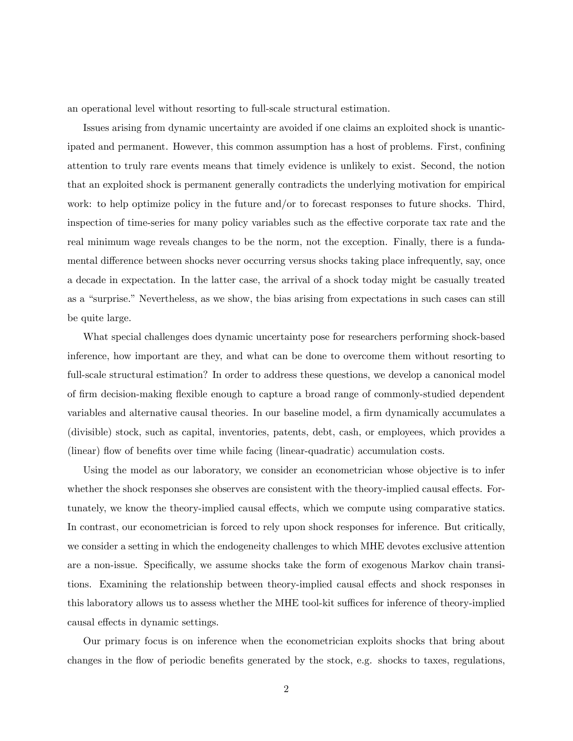an operational level without resorting to full-scale structural estimation.

Issues arising from dynamic uncertainty are avoided if one claims an exploited shock is unanticipated and permanent. However, this common assumption has a host of problems. First, confining attention to truly rare events means that timely evidence is unlikely to exist. Second, the notion that an exploited shock is permanent generally contradicts the underlying motivation for empirical work: to help optimize policy in the future and/or to forecast responses to future shocks. Third, inspection of time-series for many policy variables such as the effective corporate tax rate and the real minimum wage reveals changes to be the norm, not the exception. Finally, there is a fundamental difference between shocks never occurring versus shocks taking place infrequently, say, once a decade in expectation. In the latter case, the arrival of a shock today might be casually treated as a "surprise." Nevertheless, as we show, the bias arising from expectations in such cases can still be quite large.

What special challenges does dynamic uncertainty pose for researchers performing shock-based inference, how important are they, and what can be done to overcome them without resorting to full-scale structural estimation? In order to address these questions, we develop a canonical model of firm decision-making flexible enough to capture a broad range of commonly-studied dependent variables and alternative causal theories. In our baseline model, a firm dynamically accumulates a (divisible) stock, such as capital, inventories, patents, debt, cash, or employees, which provides a (linear) flow of benefits over time while facing (linear-quadratic) accumulation costs.

Using the model as our laboratory, we consider an econometrician whose objective is to infer whether the shock responses she observes are consistent with the theory-implied causal effects. Fortunately, we know the theory-implied causal effects, which we compute using comparative statics. In contrast, our econometrician is forced to rely upon shock responses for inference. But critically, we consider a setting in which the endogeneity challenges to which MHE devotes exclusive attention are a non-issue. Specifically, we assume shocks take the form of exogenous Markov chain transitions. Examining the relationship between theory-implied causal effects and shock responses in this laboratory allows us to assess whether the MHE tool-kit suffices for inference of theory-implied causal effects in dynamic settings.

Our primary focus is on inference when the econometrician exploits shocks that bring about changes in the flow of periodic benefits generated by the stock, e.g. shocks to taxes, regulations,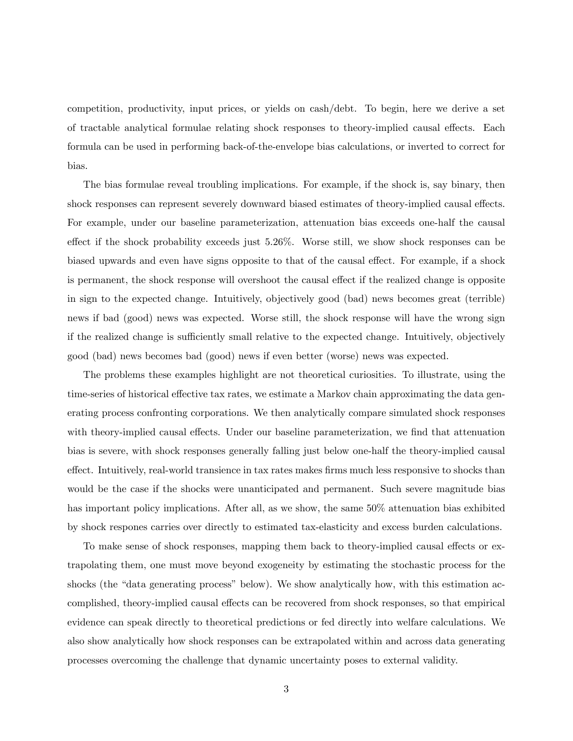competition, productivity, input prices, or yields on cash/debt. To begin, here we derive a set of tractable analytical formulae relating shock responses to theory-implied causal effects. Each formula can be used in performing back-of-the-envelope bias calculations, or inverted to correct for bias.

The bias formulae reveal troubling implications. For example, if the shock is, say binary, then shock responses can represent severely downward biased estimates of theory-implied causal effects. For example, under our baseline parameterization, attenuation bias exceeds one-half the causal effect if the shock probability exceeds just  $5.26\%$ . Worse still, we show shock responses can be biased upwards and even have signs opposite to that of the causal effect. For example, if a shock is permanent, the shock response will overshoot the causal effect if the realized change is opposite in sign to the expected change. Intuitively, objectively good (bad) news becomes great (terrible) news if bad (good) news was expected. Worse still, the shock response will have the wrong sign if the realized change is sufficiently small relative to the expected change. Intuitively, objectively good (bad) news becomes bad (good) news if even better (worse) news was expected.

The problems these examples highlight are not theoretical curiosities. To illustrate, using the time-series of historical effective tax rates, we estimate a Markov chain approximating the data generating process confronting corporations. We then analytically compare simulated shock responses with theory-implied causal effects. Under our baseline parameterization, we find that attenuation bias is severe, with shock responses generally falling just below one-half the theory-implied causal effect. Intuitively, real-world transience in tax rates makes firms much less responsive to shocks than would be the case if the shocks were unanticipated and permanent. Such severe magnitude bias has important policy implications. After all, as we show, the same 50% attenuation bias exhibited by shock respones carries over directly to estimated tax-elasticity and excess burden calculations.

To make sense of shock responses, mapping them back to theory-implied causal effects or extrapolating them, one must move beyond exogeneity by estimating the stochastic process for the shocks (the "data generating process" below). We show analytically how, with this estimation accomplished, theory-implied causal effects can be recovered from shock responses, so that empirical evidence can speak directly to theoretical predictions or fed directly into welfare calculations. We also show analytically how shock responses can be extrapolated within and across data generating processes overcoming the challenge that dynamic uncertainty poses to external validity.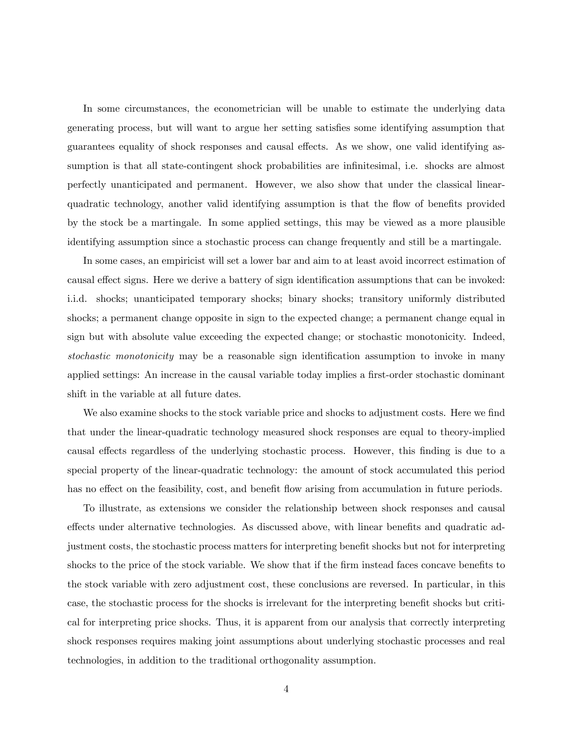In some circumstances, the econometrician will be unable to estimate the underlying data generating process, but will want to argue her setting satisfies some identifying assumption that guarantees equality of shock responses and causal effects. As we show, one valid identifying assumption is that all state-contingent shock probabilities are infinitesimal, i.e. shocks are almost perfectly unanticipated and permanent. However, we also show that under the classical linearquadratic technology, another valid identifying assumption is that the flow of benefits provided by the stock be a martingale. In some applied settings, this may be viewed as a more plausible identifying assumption since a stochastic process can change frequently and still be a martingale.

In some cases, an empiricist will set a lower bar and aim to at least avoid incorrect estimation of causal effect signs. Here we derive a battery of sign identification assumptions that can be invoked: i.i.d. shocks; unanticipated temporary shocks; binary shocks; transitory uniformly distributed shocks; a permanent change opposite in sign to the expected change; a permanent change equal in sign but with absolute value exceeding the expected change; or stochastic monotonicity. Indeed, stochastic monotonicity may be a reasonable sign identification assumption to invoke in many applied settings: An increase in the causal variable today implies a first-order stochastic dominant shift in the variable at all future dates.

We also examine shocks to the stock variable price and shocks to adjustment costs. Here we find that under the linear-quadratic technology measured shock responses are equal to theory-implied causal effects regardless of the underlying stochastic process. However, this finding is due to a special property of the linear-quadratic technology: the amount of stock accumulated this period has no effect on the feasibility, cost, and benefit flow arising from accumulation in future periods.

To illustrate, as extensions we consider the relationship between shock responses and causal effects under alternative technologies. As discussed above, with linear benefits and quadratic adjustment costs, the stochastic process matters for interpreting beneÖt shocks but not for interpreting shocks to the price of the stock variable. We show that if the firm instead faces concave benefits to the stock variable with zero adjustment cost, these conclusions are reversed. In particular, in this case, the stochastic process for the shocks is irrelevant for the interpreting benefit shocks but critical for interpreting price shocks. Thus, it is apparent from our analysis that correctly interpreting shock responses requires making joint assumptions about underlying stochastic processes and real technologies, in addition to the traditional orthogonality assumption.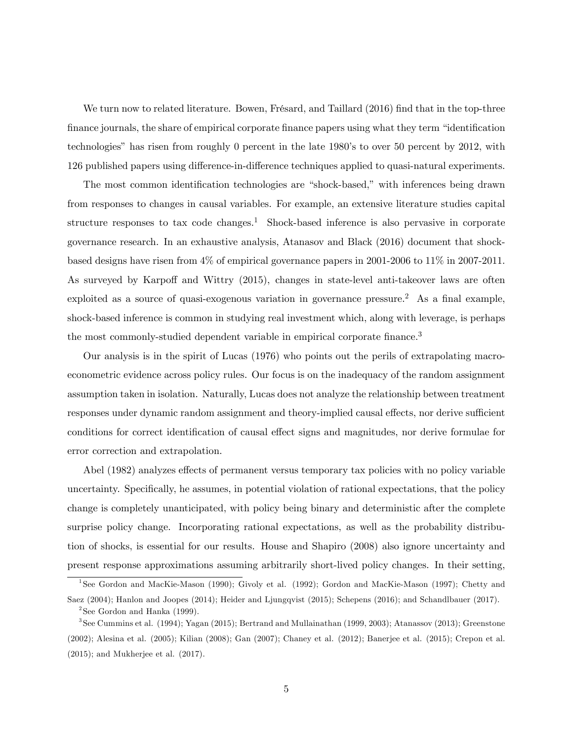We turn now to related literature. Bowen, Frésard, and Taillard (2016) find that in the top-three finance journals, the share of empirical corporate finance papers using what they term "identification" technologiesî has risen from roughly 0 percent in the late 1980ís to over 50 percent by 2012, with 126 published papers using difference-in-difference techniques applied to quasi-natural experiments.

The most common identification technologies are "shock-based," with inferences being drawn from responses to changes in causal variables. For example, an extensive literature studies capital structure responses to tax code changes.<sup>1</sup> Shock-based inference is also pervasive in corporate governance research. In an exhaustive analysis, Atanasov and Black (2016) document that shockbased designs have risen from 4% of empirical governance papers in 2001-2006 to 11% in 2007-2011. As surveyed by Karpoff and Wittry (2015), changes in state-level anti-takeover laws are often exploited as a source of quasi-exogenous variation in governance pressure.<sup>2</sup> As a final example, shock-based inference is common in studying real investment which, along with leverage, is perhaps the most commonly-studied dependent variable in empirical corporate finance.<sup>3</sup>

Our analysis is in the spirit of Lucas (1976) who points out the perils of extrapolating macroeconometric evidence across policy rules. Our focus is on the inadequacy of the random assignment assumption taken in isolation. Naturally, Lucas does not analyze the relationship between treatment responses under dynamic random assignment and theory-implied causal effects, nor derive sufficient conditions for correct identification of causal effect signs and magnitudes, nor derive formulae for error correction and extrapolation.

Abel (1982) analyzes effects of permanent versus temporary tax policies with no policy variable uncertainty. Specifically, he assumes, in potential violation of rational expectations, that the policy change is completely unanticipated, with policy being binary and deterministic after the complete surprise policy change. Incorporating rational expectations, as well as the probability distribution of shocks, is essential for our results. House and Shapiro (2008) also ignore uncertainty and present response approximations assuming arbitrarily short-lived policy changes. In their setting,

<sup>&</sup>lt;sup>1</sup>See Gordon and MacKie-Mason (1990); Givoly et al. (1992); Gordon and MacKie-Mason (1997); Chetty and Saez (2004); Hanlon and Joopes (2014); Heider and Ljungqvist (2015); Schepens (2016); and Schandlbauer (2017).

 $2$ See Gordon and Hanka (1999).

<sup>3</sup> See Cummins et al. (1994); Yagan (2015); Bertrand and Mullainathan (1999, 2003); Atanassov (2013); Greenstone (2002); Alesina et al. (2005); Kilian (2008); Gan (2007); Chaney et al. (2012); Banerjee et al. (2015); Crepon et al. (2015); and Mukherjee et al. (2017).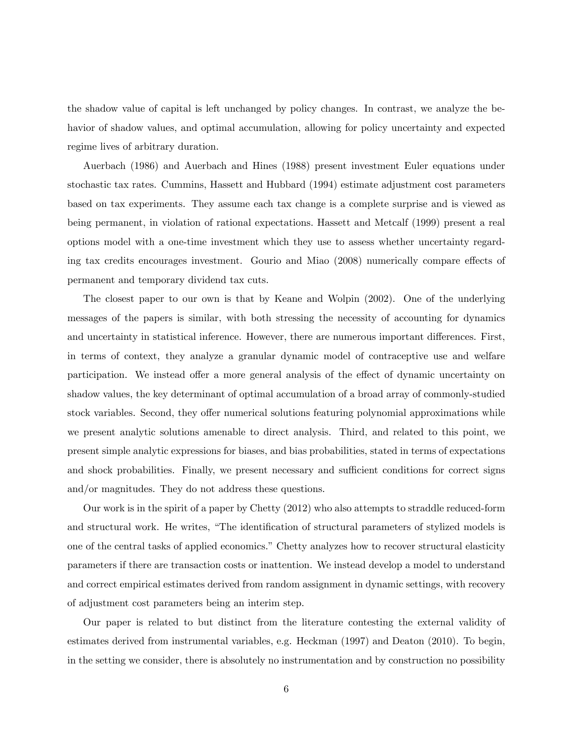the shadow value of capital is left unchanged by policy changes. In contrast, we analyze the behavior of shadow values, and optimal accumulation, allowing for policy uncertainty and expected regime lives of arbitrary duration.

Auerbach (1986) and Auerbach and Hines (1988) present investment Euler equations under stochastic tax rates. Cummins, Hassett and Hubbard (1994) estimate adjustment cost parameters based on tax experiments. They assume each tax change is a complete surprise and is viewed as being permanent, in violation of rational expectations. Hassett and Metcalf (1999) present a real options model with a one-time investment which they use to assess whether uncertainty regarding tax credits encourages investment. Gourio and Miao (2008) numerically compare effects of permanent and temporary dividend tax cuts.

The closest paper to our own is that by Keane and Wolpin (2002). One of the underlying messages of the papers is similar, with both stressing the necessity of accounting for dynamics and uncertainty in statistical inference. However, there are numerous important differences. First, in terms of context, they analyze a granular dynamic model of contraceptive use and welfare participation. We instead offer a more general analysis of the effect of dynamic uncertainty on shadow values, the key determinant of optimal accumulation of a broad array of commonly-studied stock variables. Second, they offer numerical solutions featuring polynomial approximations while we present analytic solutions amenable to direct analysis. Third, and related to this point, we present simple analytic expressions for biases, and bias probabilities, stated in terms of expectations and shock probabilities. Finally, we present necessary and sufficient conditions for correct signs and/or magnitudes. They do not address these questions.

Our work is in the spirit of a paper by Chetty (2012) who also attempts to straddle reduced-form and structural work. He writes, "The identification of structural parameters of stylized models is one of the central tasks of applied economics." Chetty analyzes how to recover structural elasticity parameters if there are transaction costs or inattention. We instead develop a model to understand and correct empirical estimates derived from random assignment in dynamic settings, with recovery of adjustment cost parameters being an interim step.

Our paper is related to but distinct from the literature contesting the external validity of estimates derived from instrumental variables, e.g. Heckman (1997) and Deaton (2010). To begin, in the setting we consider, there is absolutely no instrumentation and by construction no possibility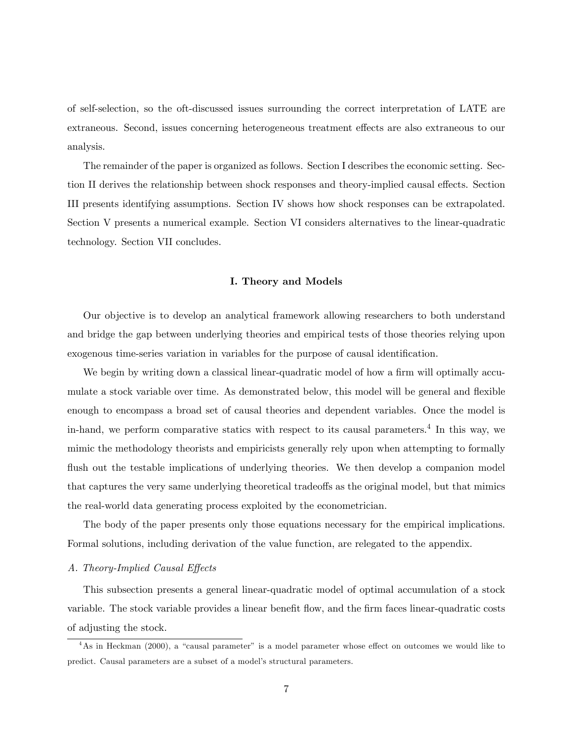of self-selection, so the oft-discussed issues surrounding the correct interpretation of LATE are extraneous. Second, issues concerning heterogeneous treatment effects are also extraneous to our analysis.

The remainder of the paper is organized as follows. Section I describes the economic setting. Section II derives the relationship between shock responses and theory-implied causal effects. Section III presents identifying assumptions. Section IV shows how shock responses can be extrapolated. Section V presents a numerical example. Section VI considers alternatives to the linear-quadratic technology. Section VII concludes.

### I. Theory and Models

Our objective is to develop an analytical framework allowing researchers to both understand and bridge the gap between underlying theories and empirical tests of those theories relying upon exogenous time-series variation in variables for the purpose of causal identification.

We begin by writing down a classical linear-quadratic model of how a firm will optimally accumulate a stock variable over time. As demonstrated below, this model will be general and flexible enough to encompass a broad set of causal theories and dependent variables. Once the model is in-hand, we perform comparative statics with respect to its causal parameters.<sup>4</sup> In this way, we mimic the methodology theorists and empiricists generally rely upon when attempting to formally flush out the testable implications of underlying theories. We then develop a companion model that captures the very same underlying theoretical tradeoffs as the original model, but that mimics the real-world data generating process exploited by the econometrician.

The body of the paper presents only those equations necessary for the empirical implications. Formal solutions, including derivation of the value function, are relegated to the appendix.

#### A. Theory-Implied Causal Effects

This subsection presents a general linear-quadratic model of optimal accumulation of a stock variable. The stock variable provides a linear benefit flow, and the firm faces linear-quadratic costs of adjusting the stock.

 $4$ As in Heckman (2000), a "causal parameter" is a model parameter whose effect on outcomes we would like to predict. Causal parameters are a subset of a modelís structural parameters.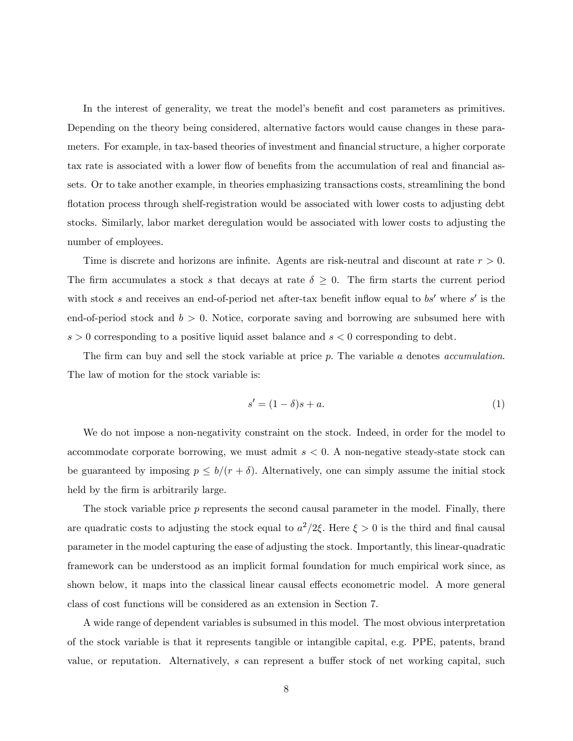In the interest of generality, we treat the model's benefit and cost parameters as primitives. Depending on the theory being considered, alternative factors would cause changes in these parameters. For example, in tax-based theories of investment and financial structure, a higher corporate tax rate is associated with a lower flow of benefits from the accumulation of real and financial assets. Or to take another example, in theories emphasizing transactions costs, streamlining the bond flotation process through shelf-registration would be associated with lower costs to adjusting debt stocks. Similarly, labor market deregulation would be associated with lower costs to adjusting the number of employees.

Time is discrete and horizons are infinite. Agents are risk-neutral and discount at rate  $r > 0$ . The firm accumulates a stock s that decays at rate  $\delta \geq 0$ . The firm starts the current period with stock s and receives an end-of-period net after-tax benefit inflow equal to  $bs'$  where s' is the end-of-period stock and  $b > 0$ . Notice, corporate saving and borrowing are subsumed here with  $s > 0$  corresponding to a positive liquid asset balance and  $s < 0$  corresponding to debt.

The firm can buy and sell the stock variable at price  $p$ . The variable  $a$  denotes *accumulation*. The law of motion for the stock variable is:

$$
s' = (1 - \delta)s + a.\tag{1}
$$

We do not impose a non-negativity constraint on the stock. Indeed, in order for the model to accommodate corporate borrowing, we must admit  $s < 0$ . A non-negative steady-state stock can be guaranteed by imposing  $p \leq b/(r + \delta)$ . Alternatively, one can simply assume the initial stock held by the firm is arbitrarily large.

The stock variable price  $p$  represents the second causal parameter in the model. Finally, there are quadratic costs to adjusting the stock equal to  $a^2/2\xi$ . Here  $\xi > 0$  is the third and final causal parameter in the model capturing the ease of adjusting the stock. Importantly, this linear-quadratic framework can be understood as an implicit formal foundation for much empirical work since, as shown below, it maps into the classical linear causal effects econometric model. A more general class of cost functions will be considered as an extension in Section 7.

A wide range of dependent variables is subsumed in this model. The most obvious interpretation of the stock variable is that it represents tangible or intangible capital, e.g. PPE, patents, brand value, or reputation. Alternatively, s can represent a buffer stock of net working capital, such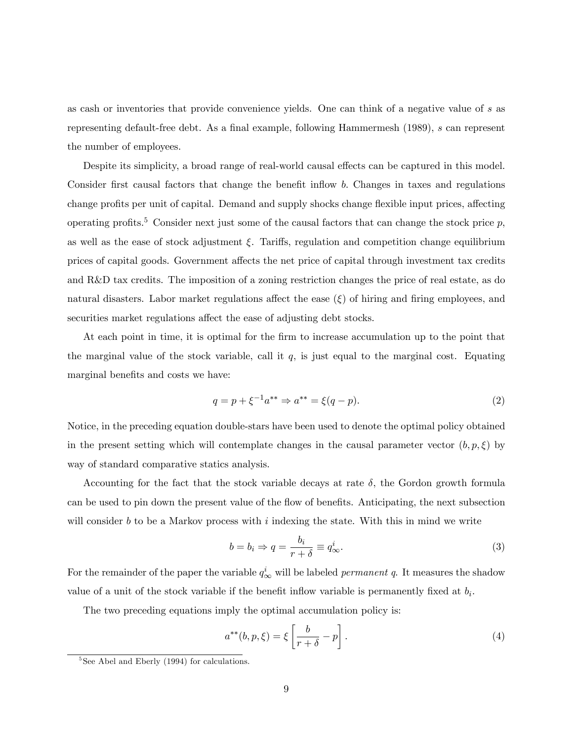as cash or inventories that provide convenience yields. One can think of a negative value of s as representing default-free debt. As a final example, following Hammermesh  $(1989)$ , s can represent the number of employees.

Despite its simplicity, a broad range of real-world causal effects can be captured in this model. Consider first causal factors that change the benefit inflow  $b$ . Changes in taxes and regulations change profits per unit of capital. Demand and supply shocks change flexible input prices, affecting operating profits.<sup>5</sup> Consider next just some of the causal factors that can change the stock price  $p$ , as well as the ease of stock adjustment  $\xi$ . Tariffs, regulation and competition change equilibrium prices of capital goods. Government affects the net price of capital through investment tax credits and R&D tax credits. The imposition of a zoning restriction changes the price of real estate, as do natural disasters. Labor market regulations affect the ease  $(\xi)$  of hiring and firing employees, and securities market regulations affect the ease of adjusting debt stocks.

At each point in time, it is optimal for the firm to increase accumulation up to the point that the marginal value of the stock variable, call it  $q$ , is just equal to the marginal cost. Equating marginal benefits and costs we have:

$$
q = p + \xi^{-1} a^{**} \Rightarrow a^{**} = \xi (q - p). \tag{2}
$$

Notice, in the preceding equation double-stars have been used to denote the optimal policy obtained in the present setting which will contemplate changes in the causal parameter vector  $(b, p, \xi)$  by way of standard comparative statics analysis.

Accounting for the fact that the stock variable decays at rate  $\delta$ , the Gordon growth formula can be used to pin down the present value of the flow of benefits. Anticipating, the next subsection will consider b to be a Markov process with  $i$  indexing the state. With this in mind we write

$$
b = b_i \Rightarrow q = \frac{b_i}{r + \delta} \equiv q_\infty^i.
$$
\n(3)

For the remainder of the paper the variable  $q^i_{\infty}$  will be labeled *permanent q*. It measures the shadow value of a unit of the stock variable if the benefit inflow variable is permanently fixed at  $b_i$ .

The two preceding equations imply the optimal accumulation policy is:

$$
a^{**}(b, p, \xi) = \xi \left[ \frac{b}{r + \delta} - p \right]. \tag{4}
$$

<sup>5</sup> See Abel and Eberly (1994) for calculations.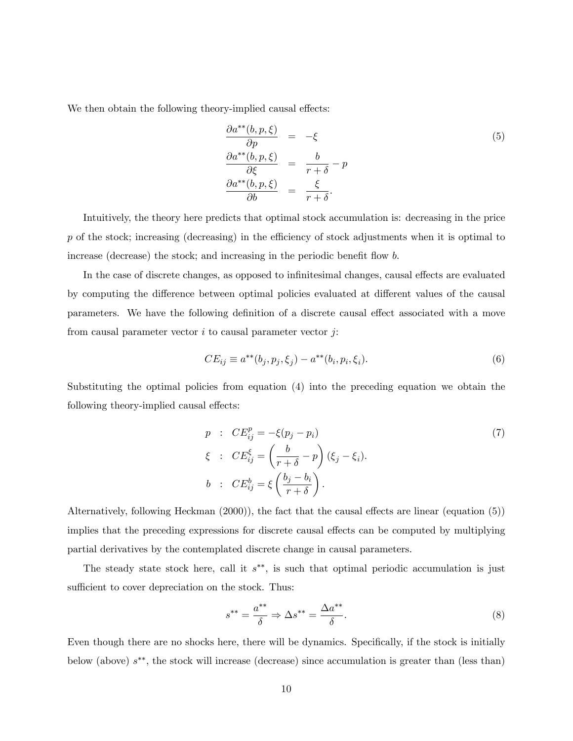We then obtain the following theory-implied causal effects:

$$
\frac{\partial a^{**}(b, p, \xi)}{\partial p} = -\xi
$$
\n
$$
\frac{\partial a^{**}(b, p, \xi)}{\partial \xi} = \frac{b}{r + \delta} - p
$$
\n
$$
\frac{\partial a^{**}(b, p, \xi)}{\partial b} = \frac{\xi}{r + \delta}.
$$
\n(5)

Intuitively, the theory here predicts that optimal stock accumulation is: decreasing in the price  $p$  of the stock; increasing (decreasing) in the efficiency of stock adjustments when it is optimal to increase (decrease) the stock; and increasing in the periodic benefit flow  $b$ .

In the case of discrete changes, as opposed to infinitesimal changes, causal effects are evaluated by computing the difference between optimal policies evaluated at different values of the causal parameters. We have the following definition of a discrete causal effect associated with a move from causal parameter vector  $i$  to causal parameter vector  $j$ :

$$
CE_{ij} \equiv a^{**}(b_j, p_j, \xi_j) - a^{**}(b_i, p_i, \xi_i). \tag{6}
$$

Substituting the optimal policies from equation (4) into the preceding equation we obtain the following theory-implied causal effects:

$$
p : CE_{ij}^{p} = -\xi(p_j - p_i)
$$
  
\n
$$
\xi : CE_{ij}^{\xi} = \left(\frac{b}{r+\delta} - p\right)(\xi_j - \xi_i).
$$
  
\n
$$
b : CE_{ij}^{b} = \xi\left(\frac{b_j - b_i}{r+\delta}\right).
$$
\n(7)

Alternatively, following Heckman  $(2000)$ , the fact that the causal effects are linear (equation  $(5)$ ) implies that the preceding expressions for discrete causal effects can be computed by multiplying partial derivatives by the contemplated discrete change in causal parameters.

The steady state stock here, call it  $s^{**}$ , is such that optimal periodic accumulation is just sufficient to cover depreciation on the stock. Thus:

$$
s^{**} = \frac{a^{**}}{\delta} \Rightarrow \Delta s^{**} = \frac{\Delta a^{**}}{\delta}.
$$
\n(8)

Even though there are no shocks here, there will be dynamics. Specifically, if the stock is initially below (above)  $s^{**}$ , the stock will increase (decrease) since accumulation is greater than (less than)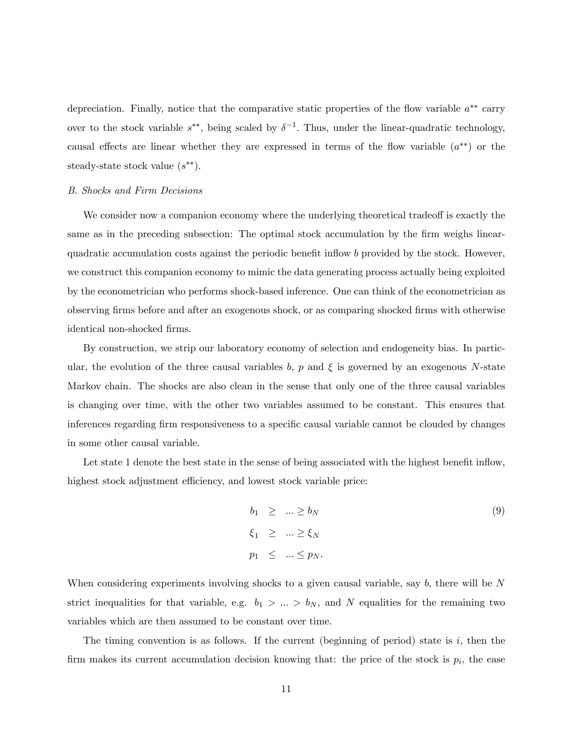depreciation. Finally, notice that the comparative static properties of the flow variable  $a^{**}$  carry over to the stock variable  $s^{**}$ , being scaled by  $\delta^{-1}$ . Thus, under the linear-quadratic technology, causal effects are linear whether they are expressed in terms of the flow variable  $(a^{**})$  or the steady-state stock value  $(s^{**})$ .

### B. Shocks and Firm Decisions

We consider now a companion economy where the underlying theoretical tradeoff is exactly the same as in the preceding subsection: The optimal stock accumulation by the firm weighs linearquadratic accumulation costs against the periodic benefit inflow b provided by the stock. However, we construct this companion economy to mimic the data generating process actually being exploited by the econometrician who performs shock-based inference. One can think of the econometrician as observing firms before and after an exogenous shock, or as comparing shocked firms with otherwise identical non-shocked firms.

By construction, we strip our laboratory economy of selection and endogeneity bias. In particular, the evolution of the three causal variables b, p and  $\xi$  is governed by an exogenous N-state Markov chain. The shocks are also clean in the sense that only one of the three causal variables is changing over time, with the other two variables assumed to be constant. This ensures that inferences regarding firm responsiveness to a specific causal variable cannot be clouded by changes in some other causal variable.

Let state 1 denote the best state in the sense of being associated with the highest benefit inflow, highest stock adjustment efficiency, and lowest stock variable price:

$$
b_1 \geq \dots \geq b_N
$$
  
\n
$$
\xi_1 \geq \dots \geq \xi_N
$$
  
\n
$$
p_1 \leq \dots \leq p_N.
$$
  
\n(9)

When considering experiments involving shocks to a given causal variable, say b, there will be N strict inequalities for that variable, e.g.  $b_1 > ... > b_N$ , and N equalities for the remaining two variables which are then assumed to be constant over time.

The timing convention is as follows. If the current (beginning of period) state is i, then the firm makes its current accumulation decision knowing that: the price of the stock is  $p_i$ , the ease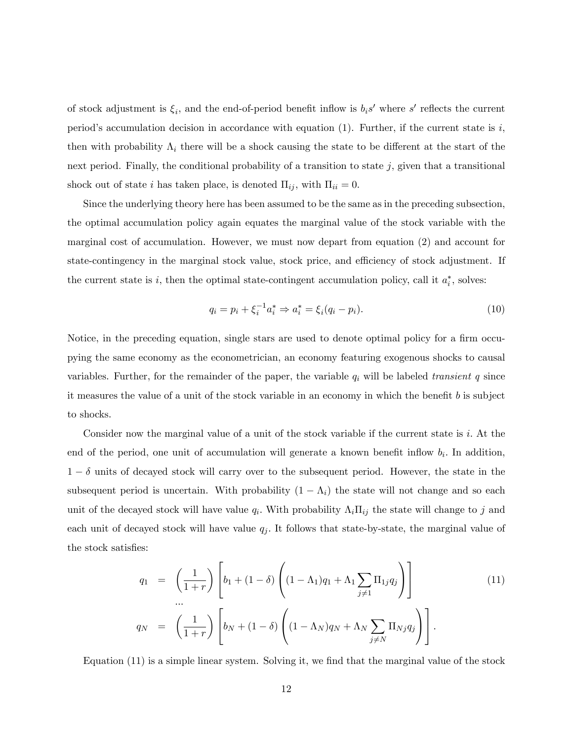of stock adjustment is  $\xi_i$ , and the end-of-period benefit inflow is  $b_i s'$  where s' reflects the current period's accumulation decision in accordance with equation  $(1)$ . Further, if the current state is i, then with probability  $\Lambda_i$  there will be a shock causing the state to be different at the start of the next period. Finally, the conditional probability of a transition to state  $j$ , given that a transitional shock out of state i has taken place, is denoted  $\Pi_{ij}$ , with  $\Pi_{ii} = 0$ .

Since the underlying theory here has been assumed to be the same as in the preceding subsection, the optimal accumulation policy again equates the marginal value of the stock variable with the marginal cost of accumulation. However, we must now depart from equation (2) and account for state-contingency in the marginal stock value, stock price, and efficiency of stock adjustment. If the current state is i, then the optimal state-contingent accumulation policy, call it  $a_i^*$ , solves:

$$
q_i = p_i + \xi_i^{-1} a_i^* \Rightarrow a_i^* = \xi_i (q_i - p_i). \tag{10}
$$

Notice, in the preceding equation, single stars are used to denote optimal policy for a firm occupying the same economy as the econometrician, an economy featuring exogenous shocks to causal variables. Further, for the remainder of the paper, the variable  $q_i$  will be labeled *transient*  $q$  since it measures the value of a unit of the stock variable in an economy in which the benefit  $b$  is subject to shocks.

Consider now the marginal value of a unit of the stock variable if the current state is i. At the end of the period, one unit of accumulation will generate a known benefit inflow  $b_i$ . In addition,  $1 - \delta$  units of decayed stock will carry over to the subsequent period. However, the state in the subsequent period is uncertain. With probability  $(1 - \Lambda_i)$  the state will not change and so each unit of the decayed stock will have value  $q_i$ . With probability  $\Lambda_i \Pi_{ij}$  the state will change to j and each unit of decayed stock will have value  $q_j$ . It follows that state-by-state, the marginal value of the stock satisfies:

$$
q_1 = \left(\frac{1}{1+r}\right) \left[ b_1 + (1-\delta) \left( (1-\Lambda_1)q_1 + \Lambda_1 \sum_{j\neq 1} \Pi_{1j} q_j \right) \right]
$$
  
\n...  
\n
$$
q_N = \left(\frac{1}{1+r}\right) \left[ b_N + (1-\delta) \left( (1-\Lambda_N)q_N + \Lambda_N \sum_{j\neq N} \Pi_{Nj} q_j \right) \right].
$$
\n(11)

Equation  $(11)$  is a simple linear system. Solving it, we find that the marginal value of the stock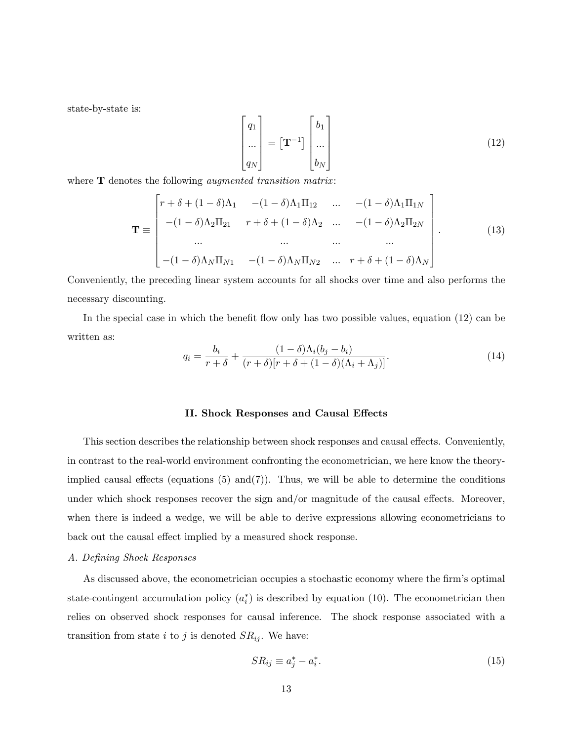state-by-state is:

$$
\begin{bmatrix} q_1 \\ \dots \\ q_N \end{bmatrix} = \begin{bmatrix} \mathbf{T}^{-1} \end{bmatrix} \begin{bmatrix} b_1 \\ \dots \\ b_N \end{bmatrix}
$$
 (12)

where  $T$  denotes the following *augmented transition matrix*:

$$
\mathbf{T} = \begin{bmatrix} r + \delta + (1 - \delta)\Lambda_1 & -(1 - \delta)\Lambda_1 \Pi_{12} & \dots & -(1 - \delta)\Lambda_1 \Pi_{1N} \\ -(1 - \delta)\Lambda_2 \Pi_{21} & r + \delta + (1 - \delta)\Lambda_2 & \dots & -(1 - \delta)\Lambda_2 \Pi_{2N} \\ \dots & \dots & \dots & \dots \\ -(1 - \delta)\Lambda_N \Pi_{N1} & -(1 - \delta)\Lambda_N \Pi_{N2} & \dots & r + \delta + (1 - \delta)\Lambda_N \end{bmatrix} .
$$
 (13)

Conveniently, the preceding linear system accounts for all shocks over time and also performs the necessary discounting.

In the special case in which the benefit flow only has two possible values, equation  $(12)$  can be written as:

$$
q_i = \frac{b_i}{r+\delta} + \frac{(1-\delta)\Lambda_i(b_j-b_i)}{(r+\delta)[r+\delta+(1-\delta)(\Lambda_i+\Lambda_j)]}.
$$
\n(14)

### II. Shock Responses and Causal Effects

This section describes the relationship between shock responses and causal effects. Conveniently, in contrast to the real-world environment confronting the econometrician, we here know the theoryimplied causal effects (equations  $(5)$  and $(7)$ ). Thus, we will be able to determine the conditions under which shock responses recover the sign and/or magnitude of the causal effects. Moreover, when there is indeed a wedge, we will be able to derive expressions allowing econometricians to back out the causal effect implied by a measured shock response.

### A. Defining Shock Responses

As discussed above, the econometrician occupies a stochastic economy where the firm's optimal state-contingent accumulation policy  $(a_i^*)$  is described by equation (10). The econometrician then relies on observed shock responses for causal inference. The shock response associated with a transition from state i to j is denoted  $SR_{ij}$ . We have:

$$
SR_{ij} \equiv a_j^* - a_i^*.\tag{15}
$$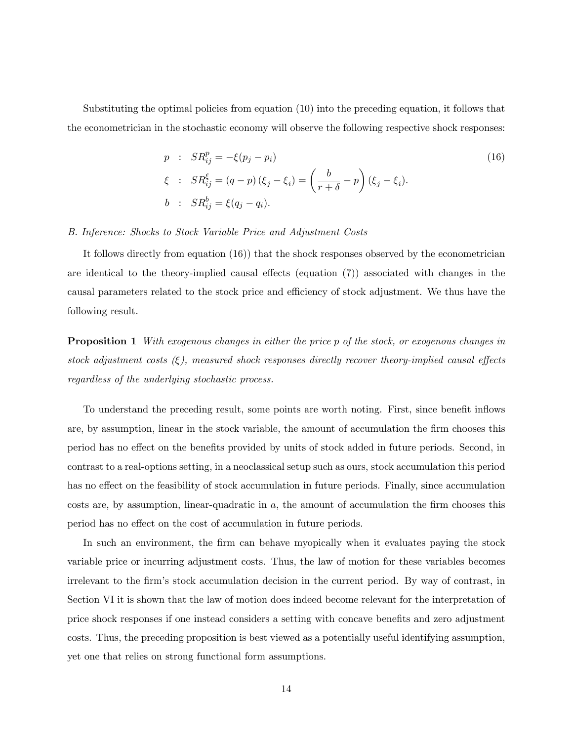Substituting the optimal policies from equation (10) into the preceding equation, it follows that the econometrician in the stochastic economy will observe the following respective shock responses:

$$
p : SR_{ij}^{p} = -\xi(p_j - p_i)
$$
  
\n
$$
\xi : SR_{ij}^{\xi} = (q - p)(\xi_j - \xi_i) = \left(\frac{b}{r + \delta} - p\right)(\xi_j - \xi_i).
$$
  
\n
$$
b : SR_{ij}^{b} = \xi(q_j - q_i).
$$
\n(16)

#### B. Inference: Shocks to Stock Variable Price and Adjustment Costs

It follows directly from equation (16)) that the shock responses observed by the econometrician are identical to the theory-implied causal effects (equation  $(7)$ ) associated with changes in the causal parameters related to the stock price and efficiency of stock adjustment. We thus have the following result.

**Proposition 1** With exogenous changes in either the price p of the stock, or exogenous changes in stock adjustment costs  $(\xi)$ , measured shock responses directly recover theory-implied causal effects regardless of the underlying stochastic process.

To understand the preceding result, some points are worth noting. First, since benefit inflows are, by assumption, linear in the stock variable, the amount of accumulation the firm chooses this period has no effect on the benefits provided by units of stock added in future periods. Second, in contrast to a real-options setting, in a neoclassical setup such as ours, stock accumulation this period has no effect on the feasibility of stock accumulation in future periods. Finally, since accumulation costs are, by assumption, linear-quadratic in  $a$ , the amount of accumulation the firm chooses this period has no effect on the cost of accumulation in future periods.

In such an environment, the firm can behave myopically when it evaluates paying the stock variable price or incurring adjustment costs. Thus, the law of motion for these variables becomes irrelevant to the firm's stock accumulation decision in the current period. By way of contrast, in Section VI it is shown that the law of motion does indeed become relevant for the interpretation of price shock responses if one instead considers a setting with concave benefits and zero adjustment costs. Thus, the preceding proposition is best viewed as a potentially useful identifying assumption, yet one that relies on strong functional form assumptions.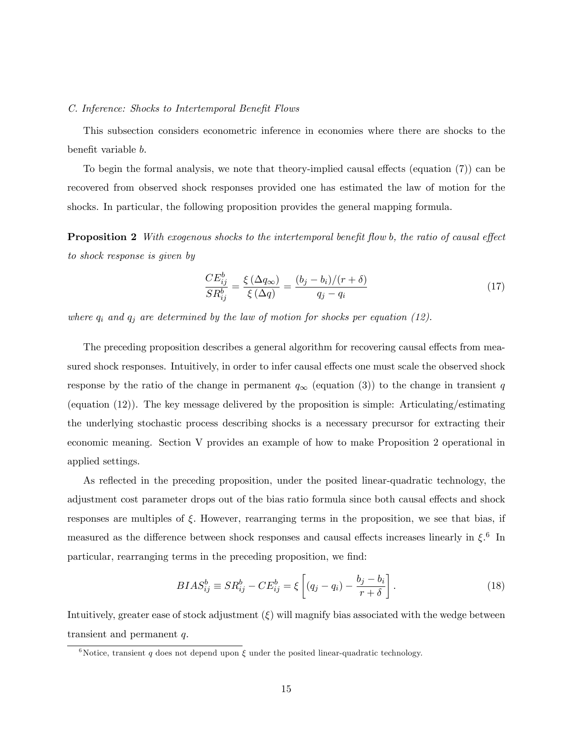#### C. Inference: Shocks to Intertemporal Benefit Flows

This subsection considers econometric inference in economies where there are shocks to the benefit variable *b*.

To begin the formal analysis, we note that theory-implied causal effects (equation  $(7)$ ) can be recovered from observed shock responses provided one has estimated the law of motion for the shocks. In particular, the following proposition provides the general mapping formula.

**Proposition 2** With exogenous shocks to the intertemporal benefit flow b, the ratio of causal effect to shock response is given by

$$
\frac{CE_{ij}^b}{SR_{ij}^b} = \frac{\xi(\Delta q_{\infty})}{\xi(\Delta q)} = \frac{(b_j - b_i)/(r + \delta)}{q_j - q_i}
$$
\n(17)

where  $q_i$  and  $q_j$  are determined by the law of motion for shocks per equation (12).

The preceding proposition describes a general algorithm for recovering causal effects from measured shock responses. Intuitively, in order to infer causal effects one must scale the observed shock response by the ratio of the change in permanent  $q_{\infty}$  (equation (3)) to the change in transient q (equation (12)). The key message delivered by the proposition is simple: Articulating/estimating the underlying stochastic process describing shocks is a necessary precursor for extracting their economic meaning. Section V provides an example of how to make Proposition 2 operational in applied settings.

As reflected in the preceding proposition, under the posited linear-quadratic technology, the adjustment cost parameter drops out of the bias ratio formula since both causal effects and shock responses are multiples of  $\xi$ . However, rearranging terms in the proposition, we see that bias, if measured as the difference between shock responses and causal effects increases linearly in  $\xi$ .<sup>6</sup> In particular, rearranging terms in the preceding proposition, we find:

$$
BIAS_{ij}^{b} \equiv SR_{ij}^{b} - CE_{ij}^{b} = \xi \left[ (q_j - q_i) - \frac{b_j - b_i}{r + \delta} \right].
$$
\n(18)

Intuitively, greater ease of stock adjustment  $(\xi)$  will magnify bias associated with the wedge between transient and permanent q:

<sup>&</sup>lt;sup>6</sup>Notice, transient q does not depend upon  $\xi$  under the posited linear-quadratic technology.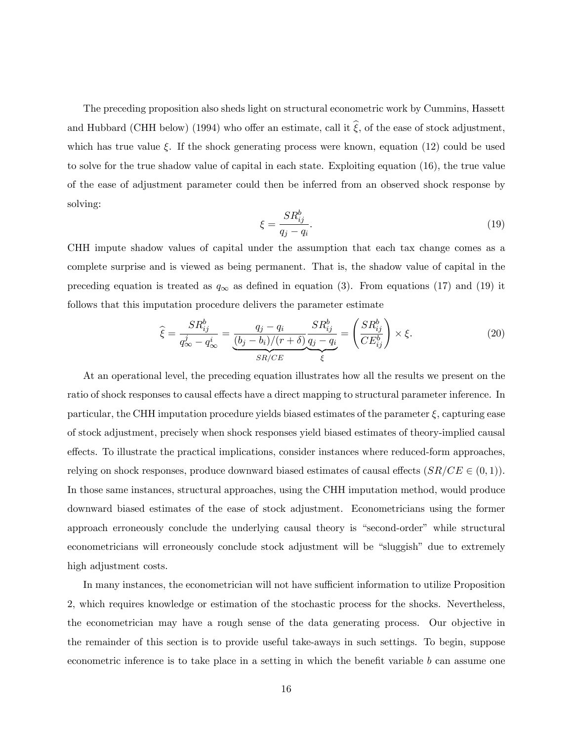The preceding proposition also sheds light on structural econometric work by Cummins, Hassett and Hubbard (CHH below) (1994) who offer an estimate, call it  $\hat{\xi}$ , of the ease of stock adjustment, which has true value  $\xi$ . If the shock generating process were known, equation (12) could be used to solve for the true shadow value of capital in each state. Exploiting equation (16), the true value of the ease of adjustment parameter could then be inferred from an observed shock response by solving:

$$
\xi = \frac{SR_{ij}^b}{q_j - q_i}.\tag{19}
$$

CHH impute shadow values of capital under the assumption that each tax change comes as a complete surprise and is viewed as being permanent. That is, the shadow value of capital in the preceding equation is treated as  $q_{\infty}$  as defined in equation (3). From equations (17) and (19) it follows that this imputation procedure delivers the parameter estimate

$$
\hat{\xi} = \frac{SR_{ij}^b}{q_{\infty}^j - q_{\infty}^i} = \underbrace{\frac{q_j - q_i}{(b_j - b_i)/(r + \delta)}}_{SR/CE} \underbrace{\frac{SR_{ij}^b}{q_j - q_i}}_{\xi} = \left(\frac{SR_{ij}^b}{CE_{ij}^b}\right) \times \xi. \tag{20}
$$

At an operational level, the preceding equation illustrates how all the results we present on the ratio of shock responses to causal effects have a direct mapping to structural parameter inference. In particular, the CHH imputation procedure yields biased estimates of the parameter  $\xi$ , capturing ease of stock adjustment, precisely when shock responses yield biased estimates of theory-implied causal effects. To illustrate the practical implications, consider instances where reduced-form approaches, relying on shock responses, produce downward biased estimates of causal effects  $(SR/CE \in (0, 1))$ . In those same instances, structural approaches, using the CHH imputation method, would produce downward biased estimates of the ease of stock adjustment. Econometricians using the former approach erroneously conclude the underlying causal theory is "second-order" while structural econometricians will erroneously conclude stock adjustment will be "sluggish" due to extremely high adjustment costs.

In many instances, the econometrician will not have sufficient information to utilize Proposition 2, which requires knowledge or estimation of the stochastic process for the shocks. Nevertheless, the econometrician may have a rough sense of the data generating process. Our objective in the remainder of this section is to provide useful take-aways in such settings. To begin, suppose econometric inference is to take place in a setting in which the benefit variable b can assume one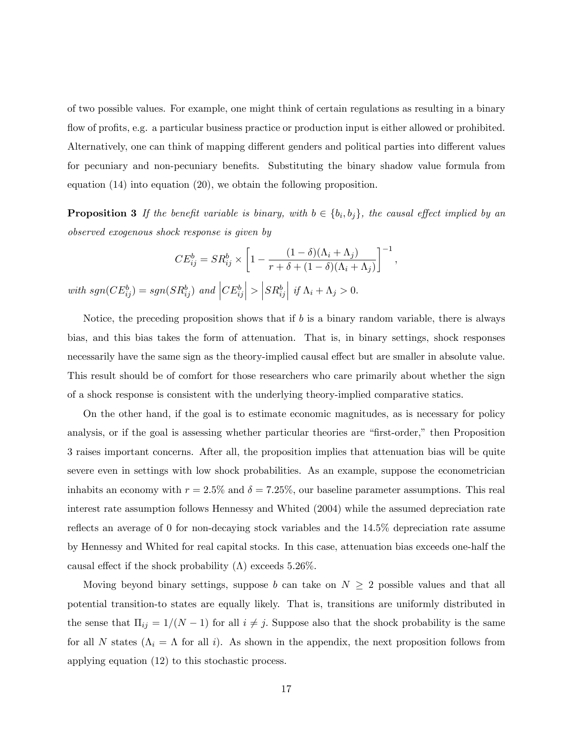of two possible values. For example, one might think of certain regulations as resulting in a binary flow of profits, e.g. a particular business practice or production input is either allowed or prohibited. Alternatively, one can think of mapping different genders and political parties into different values for pecuniary and non-pecuniary benefits. Substituting the binary shadow value formula from equation (14) into equation (20), we obtain the following proposition.

**Proposition 3** If the benefit variable is binary, with  $b \in \{b_i, b_j\}$ , the causal effect implied by an observed exogenous shock response is given by

$$
CE_{ij}^{b} = SR_{ij}^{b} \times \left[1 - \frac{(1 - \delta)(\Lambda_i + \Lambda_j)}{r + \delta + (1 - \delta)(\Lambda_i + \Lambda_j)}\right]^{-1},
$$
  
with  $sgn(CE_{ij}^{b}) = sgn(SR_{ij}^{b})$  and  $|CE_{ij}^{b}| > |SR_{ij}^{b}|$  if  $\Lambda_i + \Lambda_j > 0$ .

Notice, the preceding proposition shows that if b is a binary random variable, there is always bias, and this bias takes the form of attenuation. That is, in binary settings, shock responses necessarily have the same sign as the theory-implied causal effect but are smaller in absolute value. This result should be of comfort for those researchers who care primarily about whether the sign of a shock response is consistent with the underlying theory-implied comparative statics.

On the other hand, if the goal is to estimate economic magnitudes, as is necessary for policy analysis, or if the goal is assessing whether particular theories are "first-order," then Proposition 3 raises important concerns. After all, the proposition implies that attenuation bias will be quite severe even in settings with low shock probabilities. As an example, suppose the econometrician inhabits an economy with  $r = 2.5\%$  and  $\delta = 7.25\%$ , our baseline parameter assumptions. This real interest rate assumption follows Hennessy and Whited (2004) while the assumed depreciation rate reflects an average of 0 for non-decaying stock variables and the  $14.5\%$  depreciation rate assume by Hennessy and Whited for real capital stocks. In this case, attenuation bias exceeds one-half the causal effect if the shock probability  $(\Lambda)$  exceeds 5.26%.

Moving beyond binary settings, suppose b can take on  $N \geq 2$  possible values and that all potential transition-to states are equally likely. That is, transitions are uniformly distributed in the sense that  $\Pi_{ij} = 1/(N - 1)$  for all  $i \neq j$ . Suppose also that the shock probability is the same for all N states  $(\Lambda_i = \Lambda$  for all i). As shown in the appendix, the next proposition follows from applying equation (12) to this stochastic process.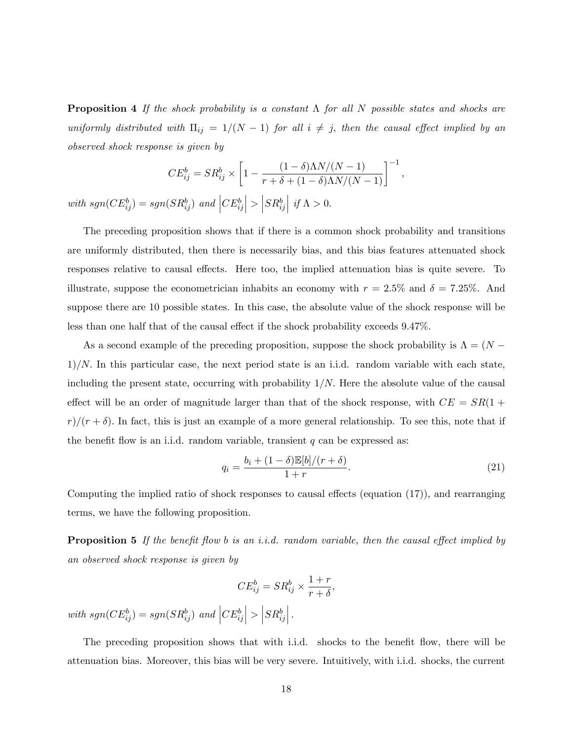**Proposition 4** If the shock probability is a constant  $\Lambda$  for all N possible states and shocks are uniformly distributed with  $\Pi_{ij} = 1/(N - 1)$  for all  $i \neq j$ , then the causal effect implied by an observed shock response is given by

$$
CE_{ij}^{b} = SR_{ij}^{b} \times \left[1 - \frac{(1 - \delta)\Lambda N/(N - 1)}{r + \delta + (1 - \delta)\Lambda N/(N - 1)}\right]^{-1}
$$
  

$$
(CE_{ij}^{b}) = sgn(SR_{ij}^{b}) \text{ and } \left|CE_{ij}^{b}\right| > \left|SR_{ij}^{b}\right| \text{ if } \Lambda > 0.
$$

with  $sgn$ 

The preceding proposition shows that if there is a common shock probability and transitions are uniformly distributed, then there is necessarily bias, and this bias features attenuated shock responses relative to causal effects. Here too, the implied attenuation bias is quite severe. To illustrate, suppose the econometrician inhabits an economy with  $r = 2.5\%$  and  $\delta = 7.25\%$ . And suppose there are 10 possible states. In this case, the absolute value of the shock response will be less than one half that of the causal effect if the shock probability exceeds 9.47%.

As a second example of the preceding proposition, suppose the shock probability is  $\Lambda = (N - \mathbb{R})$  $1/N$ . In this particular case, the next period state is an i.i.d. random variable with each state, including the present state, occurring with probability  $1/N$ . Here the absolute value of the causal effect will be an order of magnitude larger than that of the shock response, with  $CE = SR(1 +$  $r$ / $(r + \delta)$ . In fact, this is just an example of a more general relationship. To see this, note that if the benefit flow is an i.i.d. random variable, transient  $q$  can be expressed as:

$$
q_i = \frac{b_i + (1 - \delta)\mathbb{E}[b]/(r + \delta)}{1 + r}.
$$
\n
$$
(21)
$$

;

Computing the implied ratio of shock responses to causal effects (equation  $(17)$ ), and rearranging terms, we have the following proposition.

**Proposition 5** If the benefit flow b is an i.i.d. random variable, then the causal effect implied by an observed shock response is given by

$$
CE_{ij}^{b} = SR_{ij}^{b} \times \frac{1+r}{r+\delta},
$$

with  $sgn(CE_{ij}^b) = sgn(SR_{ij}^b)$  and  $|CE_{ij}^b$  $\Big| > \Big|SR_{ij}^b$  $\Big\}$ .

The preceding proposition shows that with i.i.d. shocks to the benefit flow, there will be attenuation bias. Moreover, this bias will be very severe. Intuitively, with i.i.d. shocks, the current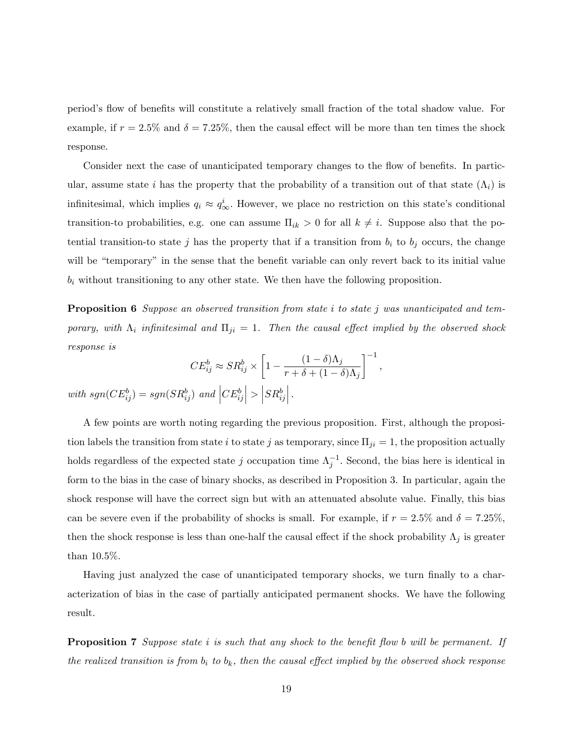period's flow of benefits will constitute a relatively small fraction of the total shadow value. For example, if  $r = 2.5\%$  and  $\delta = 7.25\%$ , then the causal effect will be more than ten times the shock response.

Consider next the case of unanticipated temporary changes to the flow of benefits. In particular, assume state i has the property that the probability of a transition out of that state  $(\Lambda_i)$  is infinitesimal, which implies  $q_i \approx q_\infty^i$ . However, we place no restriction on this state's conditional transition-to probabilities, e.g. one can assume  $\prod_{ik} > 0$  for all  $k \neq i$ . Suppose also that the potential transition-to state j has the property that if a transition from  $b_i$  to  $b_j$  occurs, the change will be "temporary" in the sense that the benefit variable can only revert back to its initial value  $b_i$  without transitioning to any other state. We then have the following proposition.

**Proposition 6** Suppose an observed transition from state i to state j was unanticipated and temporary, with  $\Lambda_i$  infinitesimal and  $\Pi_{ji} = 1$ . Then the causal effect implied by the observed shock response is

;

$$
CE_{ij}^{b} \approx SR_{ij}^{b} \times \left[1 - \frac{(1 - \delta)\Lambda_{j}}{r + \delta + (1 - \delta)\Lambda_{j}}\right]^{-1}
$$
  
with  $sgn(CE_{ij}^{b}) = sgn(SR_{ij}^{b})$  and  $|CE_{ij}^{b}| > |SR_{ij}^{b}|$ .

A few points are worth noting regarding the previous proposition. First, although the proposition labels the transition from state i to state j as temporary, since  $\Pi_{ji} = 1$ , the proposition actually holds regardless of the expected state j occupation time  $\Lambda_j^{-1}$ . Second, the bias here is identical in form to the bias in the case of binary shocks, as described in Proposition 3. In particular, again the shock response will have the correct sign but with an attenuated absolute value. Finally, this bias can be severe even if the probability of shocks is small. For example, if  $r = 2.5\%$  and  $\delta = 7.25\%$ , then the shock response is less than one-half the causal effect if the shock probability  $\Lambda_j$  is greater than 10.5%.

Having just analyzed the case of unanticipated temporary shocks, we turn finally to a characterization of bias in the case of partially anticipated permanent shocks. We have the following result.

**Proposition 7** Suppose state i is such that any shock to the benefit flow b will be permanent. If the realized transition is from  $b_i$  to  $b_k$ , then the causal effect implied by the observed shock response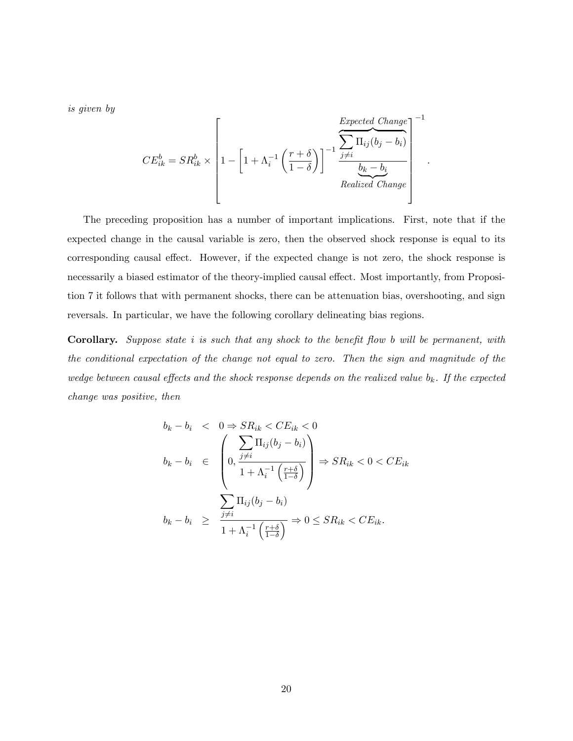is given by

$$
CE_{ik}^{b} = SR_{ik}^{b} \times \left[1 - \left[1 + \Lambda_i^{-1} \left(\frac{r+\delta}{1-\delta}\right)\right]^{-1} \frac{\sum_{j \neq i}^{Expected Change}}{\underbrace{b_k - b_i}_{Realized Change}}\right]^{-1}
$$

:

The preceding proposition has a number of important implications. First, note that if the expected change in the causal variable is zero, then the observed shock response is equal to its corresponding causal effect. However, if the expected change is not zero, the shock response is necessarily a biased estimator of the theory-implied causal effect. Most importantly, from Proposition 7 it follows that with permanent shocks, there can be attenuation bias, overshooting, and sign reversals. In particular, we have the following corollary delineating bias regions.

**Corollary.** Suppose state i is such that any shock to the benefit flow b will be permanent, with the conditional expectation of the change not equal to zero. Then the sign and magnitude of the wedge between causal effects and the shock response depends on the realized value  $b_k$ . If the expected change was positive, then

$$
b_k - b_i \leq 0 \Rightarrow SR_{ik} < CE_{ik} < 0
$$
\n
$$
b_k - b_i \in \left( 0, \frac{\sum_{j \neq i} \Pi_{ij} (b_j - b_i)}{1 + \Lambda_i^{-1} \left( \frac{r + \delta}{1 - \delta} \right)} \right) \Rightarrow SR_{ik} < 0 < CE_{ik}
$$
\n
$$
b_k - b_i \geq \frac{\sum_{j \neq i} \Pi_{ij} (b_j - b_i)}{1 + \Lambda_i^{-1} \left( \frac{r + \delta}{1 - \delta} \right)} \Rightarrow 0 \leq SR_{ik} < CE_{ik}.
$$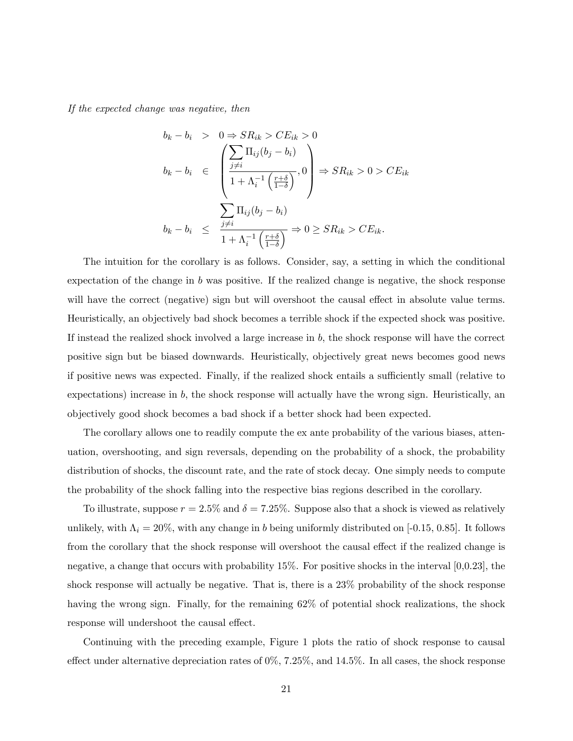If the expected change was negative, then

$$
b_k - b_i > 0 \Rightarrow SR_{ik} > CE_{ik} > 0
$$
  
\n
$$
b_k - b_i \in \left( \frac{\sum_{j \neq i} \Pi_{ij} (b_j - b_i)}{1 + \Lambda_i^{-1} \left( \frac{r + \delta}{1 - \delta} \right)}, 0 \right) \Rightarrow SR_{ik} > 0 > CE_{ik}
$$
  
\n
$$
b_k - b_i \le \frac{\sum_{j \neq i} \Pi_{ij} (b_j - b_i)}{1 + \Lambda_i^{-1} \left( \frac{r + \delta}{1 - \delta} \right)} \Rightarrow 0 \ge SR_{ik} > CE_{ik}.
$$

The intuition for the corollary is as follows. Consider, say, a setting in which the conditional expectation of the change in b was positive. If the realized change is negative, the shock response will have the correct (negative) sign but will overshoot the causal effect in absolute value terms. Heuristically, an objectively bad shock becomes a terrible shock if the expected shock was positive. If instead the realized shock involved a large increase in b, the shock response will have the correct positive sign but be biased downwards. Heuristically, objectively great news becomes good news if positive news was expected. Finally, if the realized shock entails a sufficiently small (relative to expectations) increase in b, the shock response will actually have the wrong sign. Heuristically, an objectively good shock becomes a bad shock if a better shock had been expected.

The corollary allows one to readily compute the ex ante probability of the various biases, attenuation, overshooting, and sign reversals, depending on the probability of a shock, the probability distribution of shocks, the discount rate, and the rate of stock decay. One simply needs to compute the probability of the shock falling into the respective bias regions described in the corollary.

To illustrate, suppose  $r = 2.5\%$  and  $\delta = 7.25\%$ . Suppose also that a shock is viewed as relatively unlikely, with  $\Lambda_i = 20\%$ , with any change in b being uniformly distributed on [-0.15, 0.85]. It follows from the corollary that the shock response will overshoot the causal effect if the realized change is negative, a change that occurs with probability 15%. For positive shocks in the interval [0,0.23], the shock response will actually be negative. That is, there is a 23% probability of the shock response having the wrong sign. Finally, for the remaining 62% of potential shock realizations, the shock response will undershoot the causal effect.

Continuing with the preceding example, Figure 1 plots the ratio of shock response to causal effect under alternative depreciation rates of  $0\%$ ,  $7.25\%$ , and  $14.5\%$ . In all cases, the shock response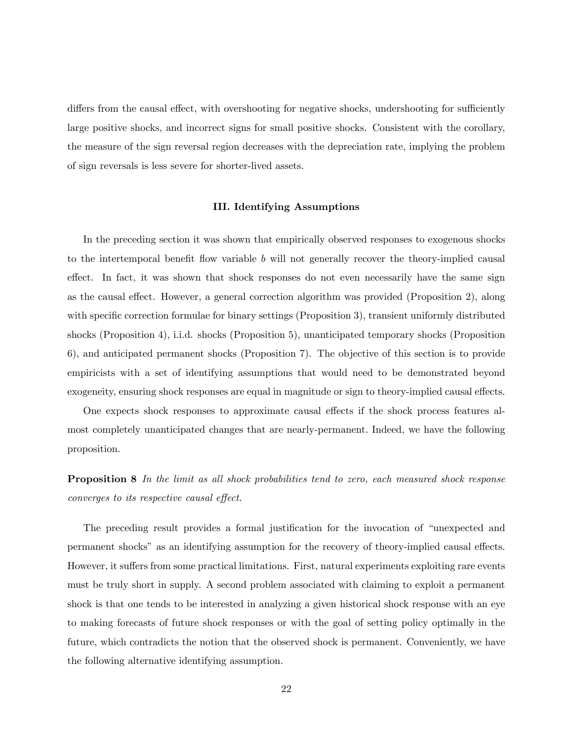differs from the causal effect, with overshooting for negative shocks, undershooting for sufficiently large positive shocks, and incorrect signs for small positive shocks. Consistent with the corollary, the measure of the sign reversal region decreases with the depreciation rate, implying the problem of sign reversals is less severe for shorter-lived assets.

### III. Identifying Assumptions

In the preceding section it was shown that empirically observed responses to exogenous shocks to the intertemporal benefit flow variable  $b$  will not generally recover the theory-implied causal effect. In fact, it was shown that shock responses do not even necessarily have the same sign as the causal effect. However, a general correction algorithm was provided (Proposition 2), along with specific correction formulae for binary settings (Proposition 3), transient uniformly distributed shocks (Proposition 4), i.i.d. shocks (Proposition 5), unanticipated temporary shocks (Proposition 6), and anticipated permanent shocks (Proposition 7). The objective of this section is to provide empiricists with a set of identifying assumptions that would need to be demonstrated beyond exogeneity, ensuring shock responses are equal in magnitude or sign to theory-implied causal effects.

One expects shock responses to approximate causal effects if the shock process features almost completely unanticipated changes that are nearly-permanent. Indeed, we have the following proposition.

**Proposition 8** In the limit as all shock probabilities tend to zero, each measured shock response converges to its respective causal effect.

The preceding result provides a formal justification for the invocation of "unexpected and permanent shocks" as an identifying assumption for the recovery of theory-implied causal effects. However, it suffers from some practical limitations. First, natural experiments exploiting rare events must be truly short in supply. A second problem associated with claiming to exploit a permanent shock is that one tends to be interested in analyzing a given historical shock response with an eye to making forecasts of future shock responses or with the goal of setting policy optimally in the future, which contradicts the notion that the observed shock is permanent. Conveniently, we have the following alternative identifying assumption.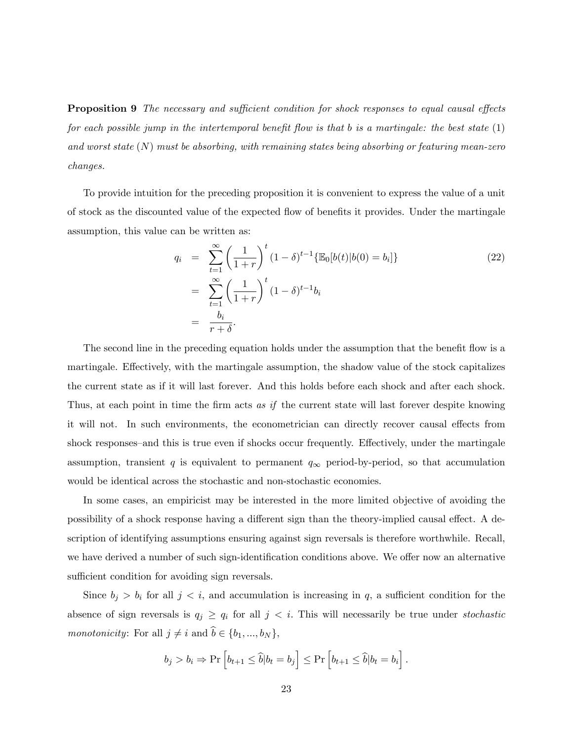**Proposition 9** The necessary and sufficient condition for shock responses to equal causal effects for each possible jump in the intertemporal benefit flow is that b is a martingale: the best state  $(1)$ and worst state (N) must be absorbing, with remaining states being absorbing or featuring mean-zero changes.

To provide intuition for the preceding proposition it is convenient to express the value of a unit of stock as the discounted value of the expected flow of benefits it provides. Under the martingale assumption, this value can be written as:

$$
q_i = \sum_{t=1}^{\infty} \left(\frac{1}{1+r}\right)^t (1-\delta)^{t-1} \{\mathbb{E}_0[b(t)|b(0) = b_i]\}
$$
  
= 
$$
\sum_{t=1}^{\infty} \left(\frac{1}{1+r}\right)^t (1-\delta)^{t-1} b_i
$$
  
= 
$$
\frac{b_i}{r+\delta}.
$$
 (22)

The second line in the preceding equation holds under the assumption that the benefit flow is a martingale. Effectively, with the martingale assumption, the shadow value of the stock capitalizes the current state as if it will last forever. And this holds before each shock and after each shock. Thus, at each point in time the firm acts as if the current state will last forever despite knowing it will not. In such environments, the econometrician can directly recover causal effects from shock responses–and this is true even if shocks occur frequently. Effectively, under the martingale assumption, transient q is equivalent to permanent  $q_{\infty}$  period-by-period, so that accumulation would be identical across the stochastic and non-stochastic economies.

In some cases, an empiricist may be interested in the more limited objective of avoiding the possibility of a shock response having a different sign than the theory-implied causal effect. A description of identifying assumptions ensuring against sign reversals is therefore worthwhile. Recall, we have derived a number of such sign-identification conditions above. We offer now an alternative sufficient condition for avoiding sign reversals.

Since  $b_j > b_i$  for all  $j < i$ , and accumulation is increasing in q, a sufficient condition for the absence of sign reversals is  $q_j \ge q_i$  for all  $j < i$ . This will necessarily be true under *stochastic* monotonicity: For all  $j \neq i$  and  $\widehat{b} \in \{b_1, ..., b_N\}$ ,

$$
b_j > b_i \Rightarrow
$$
 Pr  $\left[b_{t+1} \leq \hat{b} | b_t = b_j\right] \leq$  Pr  $\left[b_{t+1} \leq \hat{b} | b_t = b_i\right]$ .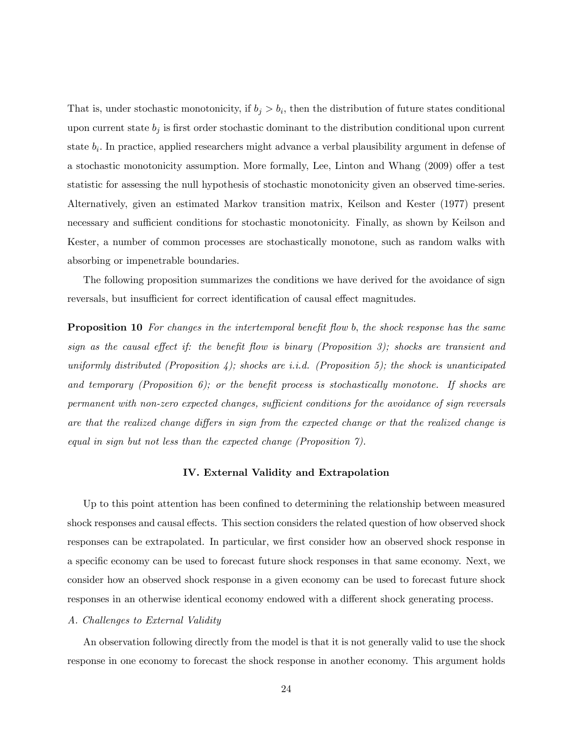That is, under stochastic monotonicity, if  $b_j > b_i$ , then the distribution of future states conditional upon current state  $b_j$  is first order stochastic dominant to the distribution conditional upon current state  $b_i$ . In practice, applied researchers might advance a verbal plausibility argument in defense of a stochastic monotonicity assumption. More formally, Lee, Linton and Whang (2009) offer a test statistic for assessing the null hypothesis of stochastic monotonicity given an observed time-series. Alternatively, given an estimated Markov transition matrix, Keilson and Kester (1977) present necessary and sufficient conditions for stochastic monotonicity. Finally, as shown by Keilson and Kester, a number of common processes are stochastically monotone, such as random walks with absorbing or impenetrable boundaries.

The following proposition summarizes the conditions we have derived for the avoidance of sign reversals, but insufficient for correct identification of causal effect magnitudes.

**Proposition 10** For changes in the intertemporal benefit flow b, the shock response has the same sign as the causal effect if: the benefit flow is binary (Proposition 3); shocks are transient and uniformly distributed (Proposition 4); shocks are i.i.d. (Proposition 5); the shock is unanticipated and temporary (Proposition 6); or the benefit process is stochastically monotone. If shocks are permanent with non-zero expected changes, sufficient conditions for the avoidance of sign reversals are that the realized change differs in sign from the expected change or that the realized change is equal in sign but not less than the expected change (Proposition 7).

### IV. External Validity and Extrapolation

Up to this point attention has been confined to determining the relationship between measured shock responses and causal effects. This section considers the related question of how observed shock responses can be extrapolated. In particular, we first consider how an observed shock response in a specific economy can be used to forecast future shock responses in that same economy. Next, we consider how an observed shock response in a given economy can be used to forecast future shock responses in an otherwise identical economy endowed with a different shock generating process.

#### A. Challenges to External Validity

An observation following directly from the model is that it is not generally valid to use the shock response in one economy to forecast the shock response in another economy. This argument holds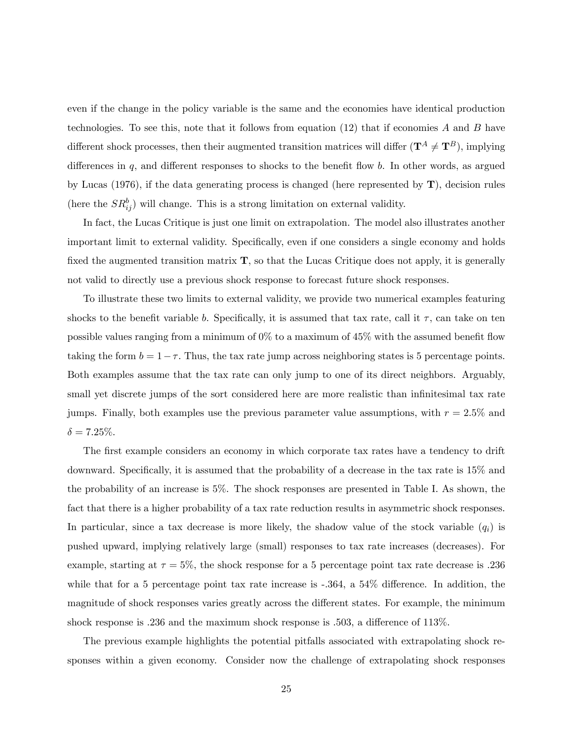even if the change in the policy variable is the same and the economies have identical production technologies. To see this, note that it follows from equation  $(12)$  that if economies A and B have different shock processes, then their augmented transition matrices will differ  $({\bf T}^A \neq {\bf T}^B)$ , implying differences in  $q$ , and different responses to shocks to the benefit flow b. In other words, as argued by Lucas (1976), if the data generating process is changed (here represented by  $\mathbf{T}$ ), decision rules (here the  $SR_{ij}^b$ ) will change. This is a strong limitation on external validity.

In fact, the Lucas Critique is just one limit on extrapolation. The model also illustrates another important limit to external validity. Specifically, even if one considers a single economy and holds fixed the augmented transition matrix  $\mathbf{T}$ , so that the Lucas Critique does not apply, it is generally not valid to directly use a previous shock response to forecast future shock responses.

To illustrate these two limits to external validity, we provide two numerical examples featuring shocks to the benefit variable b. Specifically, it is assumed that tax rate, call it  $\tau$ , can take on ten possible values ranging from a minimum of  $0\%$  to a maximum of  $45\%$  with the assumed benefit flow taking the form  $b = 1 - \tau$ . Thus, the tax rate jump across neighboring states is 5 percentage points. Both examples assume that the tax rate can only jump to one of its direct neighbors. Arguably, small yet discrete jumps of the sort considered here are more realistic than infinitesimal tax rate jumps. Finally, both examples use the previous parameter value assumptions, with  $r = 2.5\%$  and  $\delta = 7.25\%$ .

The first example considers an economy in which corporate tax rates have a tendency to drift downward. Specifically, it is assumed that the probability of a decrease in the tax rate is 15% and the probability of an increase is 5%. The shock responses are presented in Table I. As shown, the fact that there is a higher probability of a tax rate reduction results in asymmetric shock responses. In particular, since a tax decrease is more likely, the shadow value of the stock variable  $(q_i)$  is pushed upward, implying relatively large (small) responses to tax rate increases (decreases). For example, starting at  $\tau = 5\%$ , the shock response for a 5 percentage point tax rate decrease is .236 while that for a 5 percentage point tax rate increase is  $-.364$ , a  $54\%$  difference. In addition, the magnitude of shock responses varies greatly across the different states. For example, the minimum shock response is  $.236$  and the maximum shock response is  $.503$ , a difference of  $113\%$ .

The previous example highlights the potential pitfalls associated with extrapolating shock responses within a given economy. Consider now the challenge of extrapolating shock responses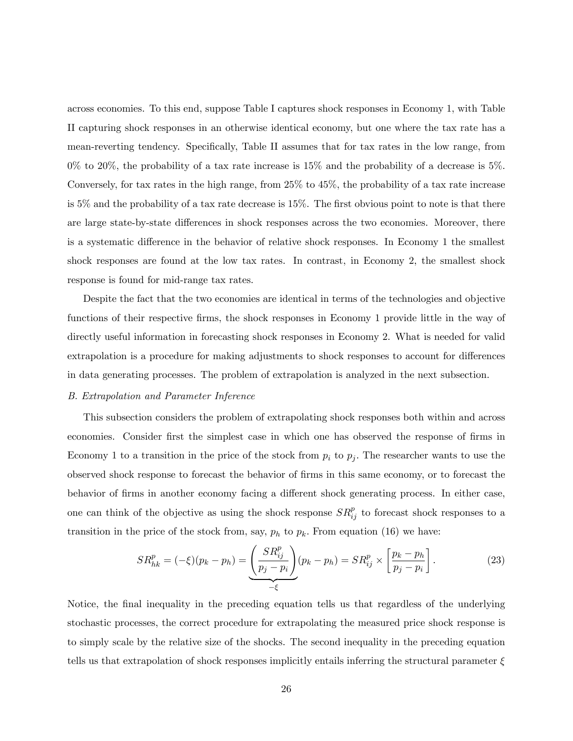across economies. To this end, suppose Table I captures shock responses in Economy 1, with Table II capturing shock responses in an otherwise identical economy, but one where the tax rate has a mean-reverting tendency. Specifically, Table II assumes that for tax rates in the low range, from  $0\%$  to 20%, the probability of a tax rate increase is 15% and the probability of a decrease is 5%. Conversely, for tax rates in the high range, from 25% to 45%, the probability of a tax rate increase is  $5\%$  and the probability of a tax rate decrease is  $15\%$ . The first obvious point to note is that there are large state-by-state differences in shock responses across the two economies. Moreover, there is a systematic difference in the behavior of relative shock responses. In Economy 1 the smallest shock responses are found at the low tax rates. In contrast, in Economy 2, the smallest shock response is found for mid-range tax rates.

Despite the fact that the two economies are identical in terms of the technologies and objective functions of their respective firms, the shock responses in Economy 1 provide little in the way of directly useful information in forecasting shock responses in Economy 2. What is needed for valid extrapolation is a procedure for making adjustments to shock responses to account for differences in data generating processes. The problem of extrapolation is analyzed in the next subsection.

# B. Extrapolation and Parameter Inference

This subsection considers the problem of extrapolating shock responses both within and across economies. Consider first the simplest case in which one has observed the response of firms in Economy 1 to a transition in the price of the stock from  $p_i$  to  $p_j$ . The researcher wants to use the observed shock response to forecast the behavior of Örms in this same economy, or to forecast the behavior of firms in another economy facing a different shock generating process. In either case, one can think of the objective as using the shock response  $SR_{ij}^p$  to forecast shock responses to a transition in the price of the stock from, say,  $p_h$  to  $p_k$ . From equation (16) we have:

$$
SR_{hk}^{p} = (-\xi)(p_k - p_h) = \underbrace{\left(\frac{SR_{ij}^{p}}{p_j - p_i}\right)}_{-\xi}(p_k - p_h) = SR_{ij}^{p} \times \left[\frac{p_k - p_h}{p_j - p_i}\right].
$$
\n(23)

Notice, the final inequality in the preceding equation tells us that regardless of the underlying stochastic processes, the correct procedure for extrapolating the measured price shock response is to simply scale by the relative size of the shocks. The second inequality in the preceding equation tells us that extrapolation of shock responses implicitly entails inferring the structural parameter  $\xi$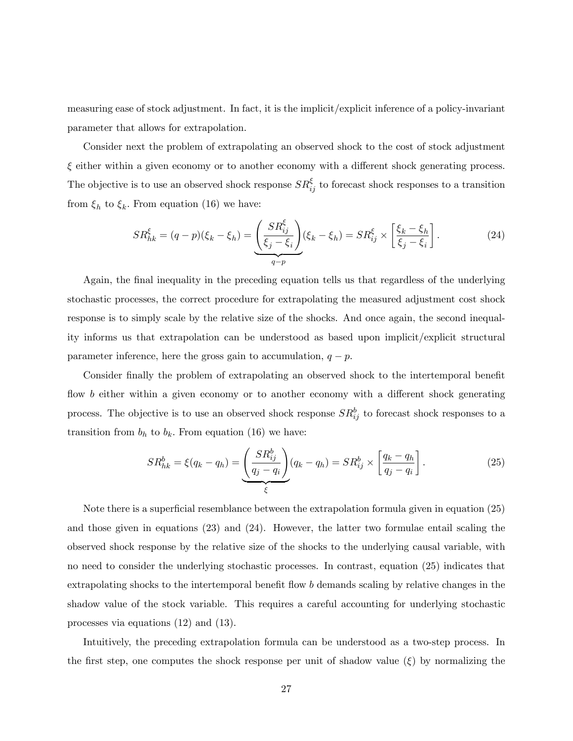measuring ease of stock adjustment. In fact, it is the implicit/explicit inference of a policy-invariant parameter that allows for extrapolation.

Consider next the problem of extrapolating an observed shock to the cost of stock adjustment  $\xi$  either within a given economy or to another economy with a different shock generating process. The objective is to use an observed shock response  $SR_{ij}^{\xi}$  to forecast shock responses to a transition from  $\xi_h$  to  $\xi_k$ . From equation (16) we have:

$$
SR_{hk}^{\xi} = (q - p)(\xi_k - \xi_h) = \underbrace{\left(\frac{SR_{ij}^{\xi}}{\xi_j - \xi_i}\right)}_{q - p} (\xi_k - \xi_h) = SR_{ij}^{\xi} \times \left[\frac{\xi_k - \xi_h}{\xi_j - \xi_i}\right].
$$
 (24)

Again, the final inequality in the preceding equation tells us that regardless of the underlying stochastic processes, the correct procedure for extrapolating the measured adjustment cost shock response is to simply scale by the relative size of the shocks. And once again, the second inequality informs us that extrapolation can be understood as based upon implicit/explicit structural parameter inference, here the gross gain to accumulation,  $q - p$ .

Consider finally the problem of extrapolating an observed shock to the intertemporal benefit flow b either within a given economy or to another economy with a different shock generating process. The objective is to use an observed shock response  $SR_{ij}^b$  to forecast shock responses to a transition from  $b_h$  to  $b_k$ . From equation (16) we have:

$$
SR_{hk}^b = \xi(q_k - q_h) = \underbrace{\left(\frac{SR_{ij}^b}{q_j - q_i}\right)}_{\xi}(q_k - q_h) = SR_{ij}^b \times \left[\frac{q_k - q_h}{q_j - q_i}\right].
$$
\n(25)

Note there is a superficial resemblance between the extrapolation formula given in equation (25) and those given in equations (23) and (24). However, the latter two formulae entail scaling the observed shock response by the relative size of the shocks to the underlying causal variable, with no need to consider the underlying stochastic processes. In contrast, equation (25) indicates that  $extrapolating shocks to the intertemporal benefit flow  $b$  demands scaling by relative changes in the$ shadow value of the stock variable. This requires a careful accounting for underlying stochastic processes via equations (12) and (13).

Intuitively, the preceding extrapolation formula can be understood as a two-step process. In the first step, one computes the shock response per unit of shadow value  $(\xi)$  by normalizing the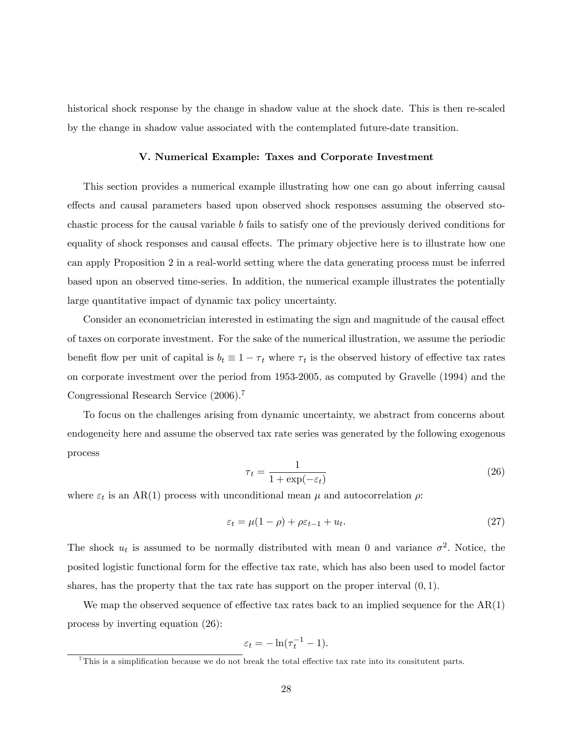historical shock response by the change in shadow value at the shock date. This is then re-scaled by the change in shadow value associated with the contemplated future-date transition.

### V. Numerical Example: Taxes and Corporate Investment

This section provides a numerical example illustrating how one can go about inferring causal effects and causal parameters based upon observed shock responses assuming the observed stochastic process for the causal variable b fails to satisfy one of the previously derived conditions for equality of shock responses and causal effects. The primary objective here is to illustrate how one can apply Proposition 2 in a real-world setting where the data generating process must be inferred based upon an observed time-series. In addition, the numerical example illustrates the potentially large quantitative impact of dynamic tax policy uncertainty.

Consider an econometrician interested in estimating the sign and magnitude of the causal effect of taxes on corporate investment. For the sake of the numerical illustration, we assume the periodic benefit flow per unit of capital is  $b_t \equiv 1 - \tau_t$  where  $\tau_t$  is the observed history of effective tax rates on corporate investment over the period from 1953-2005, as computed by Gravelle (1994) and the Congressional Research Service (2006).<sup>7</sup>

To focus on the challenges arising from dynamic uncertainty, we abstract from concerns about endogeneity here and assume the observed tax rate series was generated by the following exogenous process

$$
\tau_t = \frac{1}{1 + \exp(-\varepsilon_t)}\tag{26}
$$

where  $\varepsilon_t$  is an AR(1) process with unconditional mean  $\mu$  and autocorrelation  $\rho$ :

$$
\varepsilon_t = \mu(1 - \rho) + \rho \varepsilon_{t-1} + u_t. \tag{27}
$$

The shock  $u_t$  is assumed to be normally distributed with mean 0 and variance  $\sigma^2$ . Notice, the posited logistic functional form for the effective tax rate, which has also been used to model factor shares, has the property that the tax rate has support on the proper interval  $(0, 1)$ .

We map the observed sequence of effective tax rates back to an implied sequence for the  $AR(1)$ process by inverting equation (26):

$$
\varepsilon_t = -\ln(\tau_t^{-1} - 1).
$$

 $7$ This is a simplification because we do not break the total effective tax rate into its consitutent parts.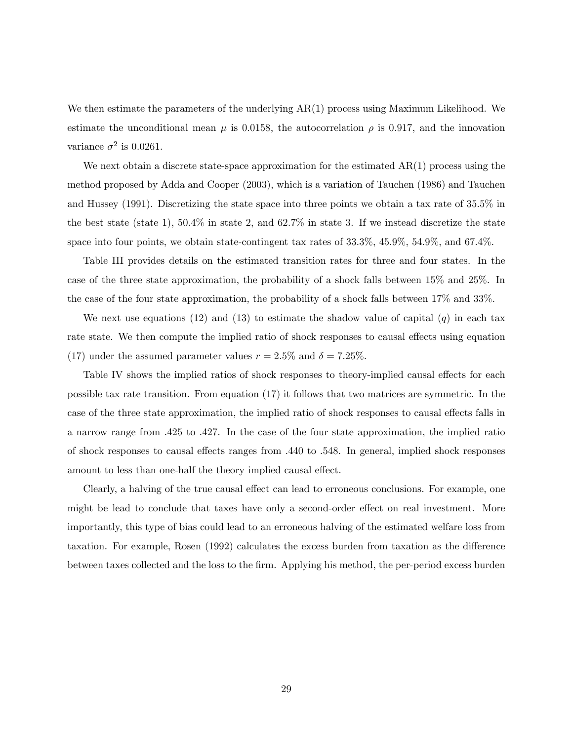We then estimate the parameters of the underlying  $AR(1)$  process using Maximum Likelihood. We estimate the unconditional mean  $\mu$  is 0.0158, the autocorrelation  $\rho$  is 0.917, and the innovation variance  $\sigma^2$  is 0.0261.

We next obtain a discrete state-space approximation for the estimated  $AR(1)$  process using the method proposed by Adda and Cooper (2003), which is a variation of Tauchen (1986) and Tauchen and Hussey (1991). Discretizing the state space into three points we obtain a tax rate of 35.5% in the best state (state 1), 50.4% in state 2, and 62.7% in state 3. If we instead discretize the state space into four points, we obtain state-contingent tax rates of 33.3%, 45.9%, 54.9%, and 67.4%.

Table III provides details on the estimated transition rates for three and four states. In the case of the three state approximation, the probability of a shock falls between 15% and 25%. In the case of the four state approximation, the probability of a shock falls between 17% and 33%.

We next use equations (12) and (13) to estimate the shadow value of capital  $(q)$  in each tax rate state. We then compute the implied ratio of shock responses to causal effects using equation (17) under the assumed parameter values  $r = 2.5\%$  and  $\delta = 7.25\%$ .

Table IV shows the implied ratios of shock responses to theory-implied causal effects for each possible tax rate transition. From equation (17) it follows that two matrices are symmetric. In the case of the three state approximation, the implied ratio of shock responses to causal effects falls in a narrow range from .425 to .427. In the case of the four state approximation, the implied ratio of shock responses to causal effects ranges from .440 to .548. In general, implied shock responses amount to less than one-half the theory implied causal effect.

Clearly, a halving of the true causal effect can lead to erroneous conclusions. For example, one might be lead to conclude that taxes have only a second-order effect on real investment. More importantly, this type of bias could lead to an erroneous halving of the estimated welfare loss from taxation. For example, Rosen (1992) calculates the excess burden from taxation as the difference between taxes collected and the loss to the Örm. Applying his method, the per-period excess burden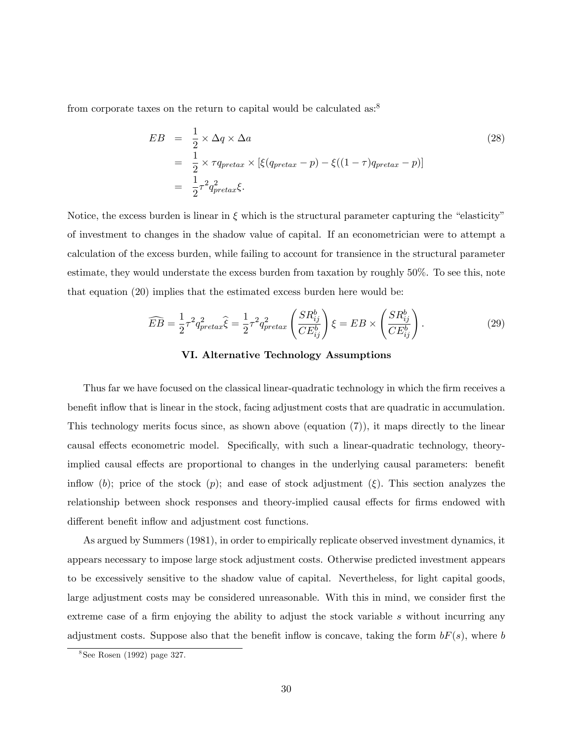from corporate taxes on the return to capital would be calculated as:<sup>8</sup>

$$
EB = \frac{1}{2} \times \Delta q \times \Delta a
$$
  
=  $\frac{1}{2} \times \tau q_{pretax} \times [\xi(q_{pretax} - p) - \xi((1 - \tau)q_{pretax} - p)]$   
=  $\frac{1}{2} \tau^2 q_{pretax}^2 \xi$ . (28)

Notice, the excess burden is linear in  $\xi$  which is the structural parameter capturing the "elasticity" of investment to changes in the shadow value of capital. If an econometrician were to attempt a calculation of the excess burden, while failing to account for transience in the structural parameter estimate, they would understate the excess burden from taxation by roughly 50%. To see this, note that equation (20) implies that the estimated excess burden here would be:

$$
\widehat{EB} = \frac{1}{2}\tau^2 q_{pretax}^2 \widehat{\xi} = \frac{1}{2}\tau^2 q_{pretax}^2 \left(\frac{SR_{ij}^b}{CE_{ij}^b}\right) \xi = EB \times \left(\frac{SR_{ij}^b}{CE_{ij}^b}\right). \tag{29}
$$

### VI. Alternative Technology Assumptions

Thus far we have focused on the classical linear-quadratic technology in which the firm receives a benefit inflow that is linear in the stock, facing adjustment costs that are quadratic in accumulation. This technology merits focus since, as shown above (equation (7)), it maps directly to the linear causal effects econometric model. Specifically, with such a linear-quadratic technology, theoryimplied causal effects are proportional to changes in the underlying causal parameters: benefit inflow (b); price of the stock (p); and ease of stock adjustment ( $\xi$ ). This section analyzes the relationship between shock responses and theory-implied causal effects for firms endowed with different benefit inflow and adjustment cost functions.

As argued by Summers (1981), in order to empirically replicate observed investment dynamics, it appears necessary to impose large stock adjustment costs. Otherwise predicted investment appears to be excessively sensitive to the shadow value of capital. Nevertheless, for light capital goods, large adjustment costs may be considered unreasonable. With this in mind, we consider first the extreme case of a firm enjoying the ability to adjust the stock variable  $s$  without incurring any adjustment costs. Suppose also that the benefit inflow is concave, taking the form  $bF(s)$ , where b

<sup>8</sup> See Rosen (1992) page 327.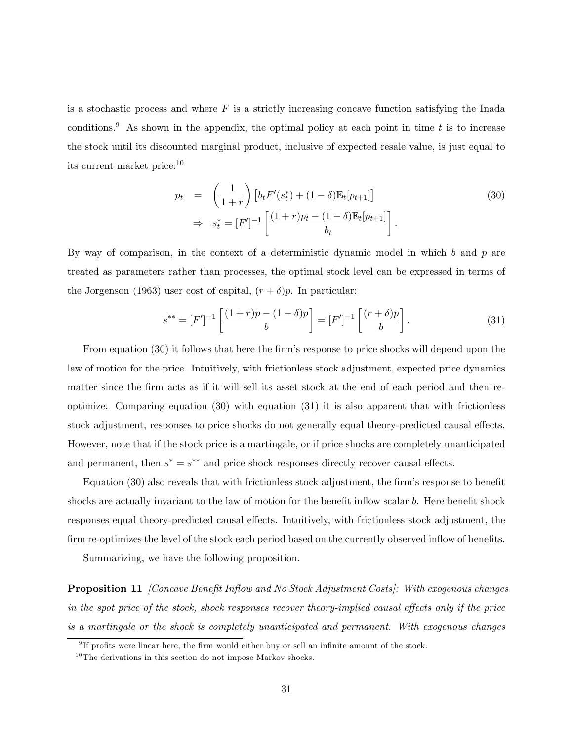is a stochastic process and where  $F$  is a strictly increasing concave function satisfying the Inada conditions.<sup>9</sup> As shown in the appendix, the optimal policy at each point in time t is to increase the stock until its discounted marginal product, inclusive of expected resale value, is just equal to its current market price:<sup>10</sup>

$$
p_t = \left(\frac{1}{1+r}\right) \left[b_t F'(s_t^*) + (1-\delta) \mathbb{E}_t[p_{t+1}]\right]
$$
  
\n
$$
\Rightarrow s_t^* = [F']^{-1} \left[\frac{(1+r)p_t - (1-\delta) \mathbb{E}_t[p_{t+1}]}{b_t}\right].
$$
\n(30)

By way of comparison, in the context of a deterministic dynamic model in which b and p are treated as parameters rather than processes, the optimal stock level can be expressed in terms of the Jorgenson (1963) user cost of capital,  $(r + \delta)p$ . In particular:

$$
s^{**} = [F']^{-1} \left[ \frac{(1+r)p - (1-\delta)p}{b} \right] = [F']^{-1} \left[ \frac{(r+\delta)p}{b} \right]. \tag{31}
$$

From equation (30) it follows that here the firm's response to price shocks will depend upon the law of motion for the price. Intuitively, with frictionless stock adjustment, expected price dynamics matter since the firm acts as if it will sell its asset stock at the end of each period and then reoptimize. Comparing equation (30) with equation (31) it is also apparent that with frictionless stock adjustment, responses to price shocks do not generally equal theory-predicted causal effects. However, note that if the stock price is a martingale, or if price shocks are completely unanticipated and permanent, then  $s^* = s^{**}$  and price shock responses directly recover causal effects.

Equation (30) also reveals that with frictionless stock adjustment, the firm's response to benefit shocks are actually invariant to the law of motion for the benefit inflow scalar  $b$ . Here benefit shock responses equal theory-predicted causal effects. Intuitively, with frictionless stock adjustment, the firm re-optimizes the level of the stock each period based on the currently observed inflow of benefits.

Summarizing, we have the following proposition.

Proposition 11 [Concave Benefit Inflow and No Stock Adjustment Costs]: With exogenous changes in the spot price of the stock, shock responses recover theory-implied causal effects only if the price is a martingale or the shock is completely unanticipated and permanent. With exogenous changes

 $9^9$ If profits were linear here, the firm would either buy or sell an infinite amount of the stock.

 $10$ The derivations in this section do not impose Markov shocks.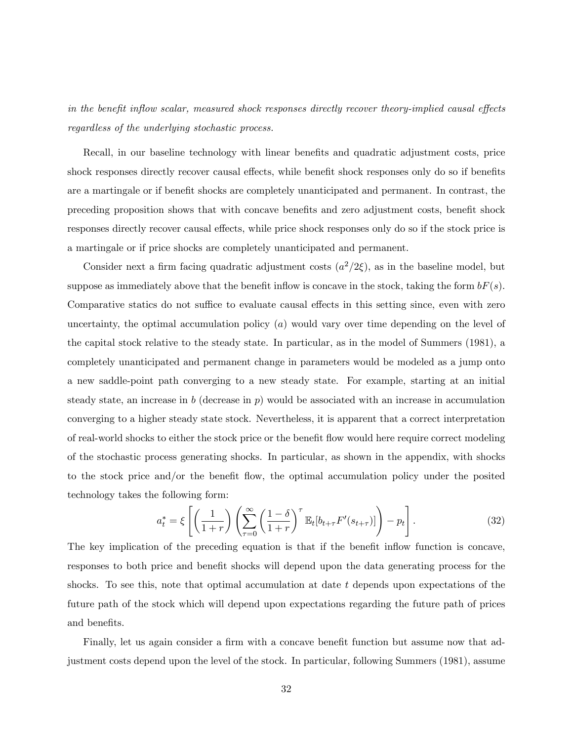in the benefit inflow scalar, measured shock responses directly recover theory-implied causal effects regardless of the underlying stochastic process.

Recall, in our baseline technology with linear benefits and quadratic adjustment costs, price shock responses directly recover causal effects, while benefit shock responses only do so if benefits are a martingale or if benefit shocks are completely unanticipated and permanent. In contrast, the preceding proposition shows that with concave benefits and zero adjustment costs, benefit shock responses directly recover causal effects, while price shock responses only do so if the stock price is a martingale or if price shocks are completely unanticipated and permanent.

Consider next a firm facing quadratic adjustment costs  $(a^2/2\xi)$ , as in the baseline model, but suppose as immediately above that the benefit inflow is concave in the stock, taking the form  $bF(s)$ . Comparative statics do not suffice to evaluate causal effects in this setting since, even with zero uncertainty, the optimal accumulation policy  $(a)$  would vary over time depending on the level of the capital stock relative to the steady state. In particular, as in the model of Summers (1981), a completely unanticipated and permanent change in parameters would be modeled as a jump onto a new saddle-point path converging to a new steady state. For example, starting at an initial steady state, an increase in b (decrease in  $p$ ) would be associated with an increase in accumulation converging to a higher steady state stock. Nevertheless, it is apparent that a correct interpretation of real-world shocks to either the stock price or the benefit flow would here require correct modeling of the stochastic process generating shocks. In particular, as shown in the appendix, with shocks to the stock price and/or the benefit flow, the optimal accumulation policy under the posited technology takes the following form:

$$
a_t^* = \xi \left[ \left( \frac{1}{1+r} \right) \left( \sum_{\tau=0}^{\infty} \left( \frac{1-\delta}{1+r} \right)^{\tau} \mathbb{E}_t[b_{t+\tau} F'(s_{t+\tau})] \right) - p_t \right]. \tag{32}
$$

The key implication of the preceding equation is that if the benefit inflow function is concave, responses to both price and benefit shocks will depend upon the data generating process for the shocks. To see this, note that optimal accumulation at date  $t$  depends upon expectations of the future path of the stock which will depend upon expectations regarding the future path of prices and benefits.

Finally, let us again consider a firm with a concave benefit function but assume now that adjustment costs depend upon the level of the stock. In particular, following Summers (1981), assume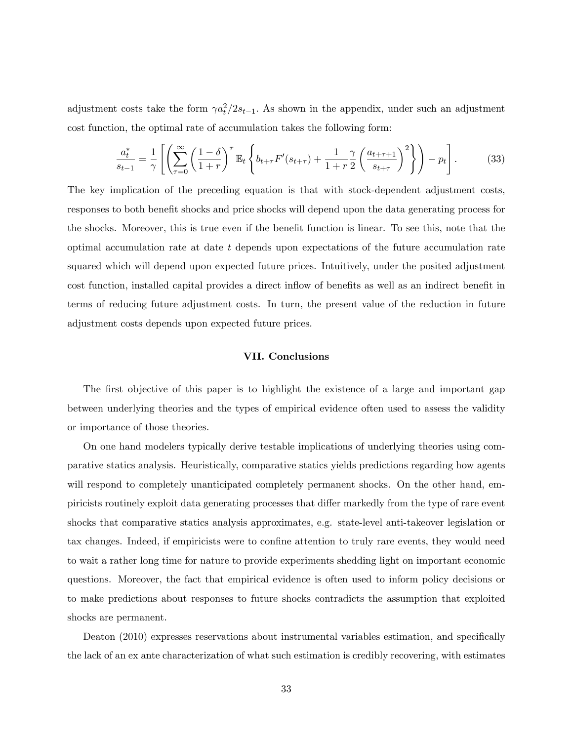adjustment costs take the form  $\gamma a_t^2/2s_{t-1}$ . As shown in the appendix, under such an adjustment cost function, the optimal rate of accumulation takes the following form:

$$
\frac{a_t^*}{s_{t-1}} = \frac{1}{\gamma} \left[ \left( \sum_{\tau=0}^{\infty} \left( \frac{1-\delta}{1+r} \right)^{\tau} \mathbb{E}_t \left\{ b_{t+\tau} F'(s_{t+\tau}) + \frac{1}{1+r} \frac{\gamma}{2} \left( \frac{a_{t+\tau+1}}{s_{t+\tau}} \right)^2 \right\} \right) - p_t \right].
$$
 (33)

The key implication of the preceding equation is that with stock-dependent adjustment costs, responses to both benefit shocks and price shocks will depend upon the data generating process for the shocks. Moreover, this is true even if the benefit function is linear. To see this, note that the optimal accumulation rate at date t depends upon expectations of the future accumulation rate squared which will depend upon expected future prices. Intuitively, under the posited adjustment cost function, installed capital provides a direct inflow of benefits as well as an indirect benefit in terms of reducing future adjustment costs. In turn, the present value of the reduction in future adjustment costs depends upon expected future prices.

### VII. Conclusions

The first objective of this paper is to highlight the existence of a large and important gap between underlying theories and the types of empirical evidence often used to assess the validity or importance of those theories.

On one hand modelers typically derive testable implications of underlying theories using comparative statics analysis. Heuristically, comparative statics yields predictions regarding how agents will respond to completely unanticipated completely permanent shocks. On the other hand, empiricists routinely exploit data generating processes that differ markedly from the type of rare event shocks that comparative statics analysis approximates, e.g. state-level anti-takeover legislation or tax changes. Indeed, if empiricists were to confine attention to truly rare events, they would need to wait a rather long time for nature to provide experiments shedding light on important economic questions. Moreover, the fact that empirical evidence is often used to inform policy decisions or to make predictions about responses to future shocks contradicts the assumption that exploited shocks are permanent.

Deaton (2010) expresses reservations about instrumental variables estimation, and specifically the lack of an ex ante characterization of what such estimation is credibly recovering, with estimates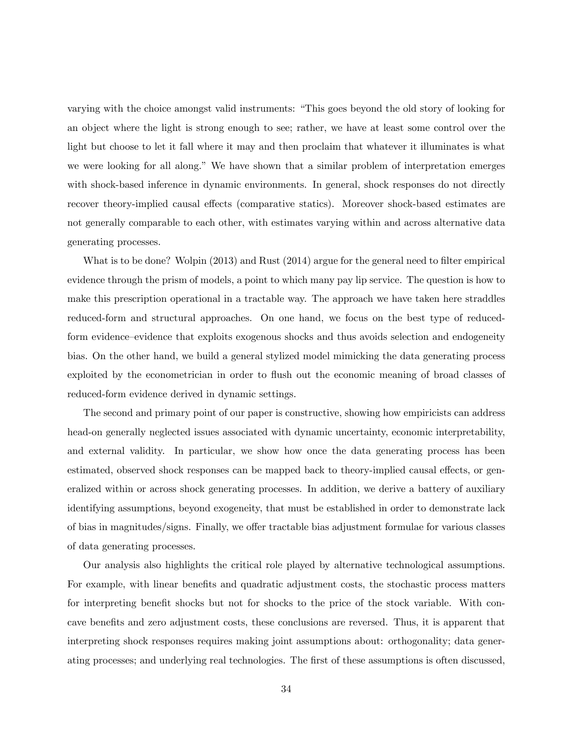varying with the choice amongst valid instruments: "This goes beyond the old story of looking for an object where the light is strong enough to see; rather, we have at least some control over the light but choose to let it fall where it may and then proclaim that whatever it illuminates is what we were looking for all along." We have shown that a similar problem of interpretation emerges with shock-based inference in dynamic environments. In general, shock responses do not directly recover theory-implied causal effects (comparative statics). Moreover shock-based estimates are not generally comparable to each other, with estimates varying within and across alternative data generating processes.

What is to be done? Wolpin  $(2013)$  and Rust  $(2014)$  argue for the general need to filter empirical evidence through the prism of models, a point to which many pay lip service. The question is how to make this prescription operational in a tractable way. The approach we have taken here straddles reduced-form and structural approaches. On one hand, we focus on the best type of reducedform evidence–evidence that exploits exogenous shocks and thus avoids selection and endogeneity bias. On the other hand, we build a general stylized model mimicking the data generating process exploited by the econometrician in order to flush out the economic meaning of broad classes of reduced-form evidence derived in dynamic settings.

The second and primary point of our paper is constructive, showing how empiricists can address head-on generally neglected issues associated with dynamic uncertainty, economic interpretability, and external validity. In particular, we show how once the data generating process has been estimated, observed shock responses can be mapped back to theory-implied causal effects, or generalized within or across shock generating processes. In addition, we derive a battery of auxiliary identifying assumptions, beyond exogeneity, that must be established in order to demonstrate lack of bias in magnitudes/signs. Finally, we offer tractable bias adjustment formulae for various classes of data generating processes.

Our analysis also highlights the critical role played by alternative technological assumptions. For example, with linear benefits and quadratic adjustment costs, the stochastic process matters for interpreting benefit shocks but not for shocks to the price of the stock variable. With concave benefits and zero adjustment costs, these conclusions are reversed. Thus, it is apparent that interpreting shock responses requires making joint assumptions about: orthogonality; data generating processes; and underlying real technologies. The first of these assumptions is often discussed,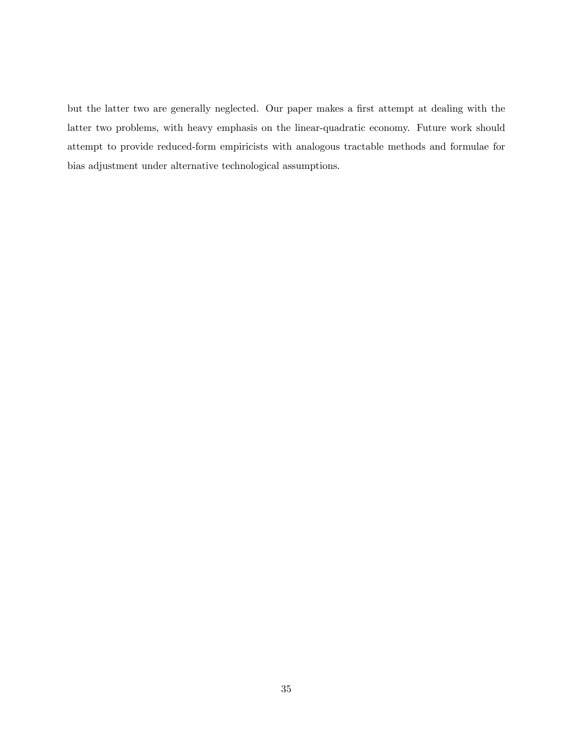but the latter two are generally neglected. Our paper makes a first attempt at dealing with the latter two problems, with heavy emphasis on the linear-quadratic economy. Future work should attempt to provide reduced-form empiricists with analogous tractable methods and formulae for bias adjustment under alternative technological assumptions.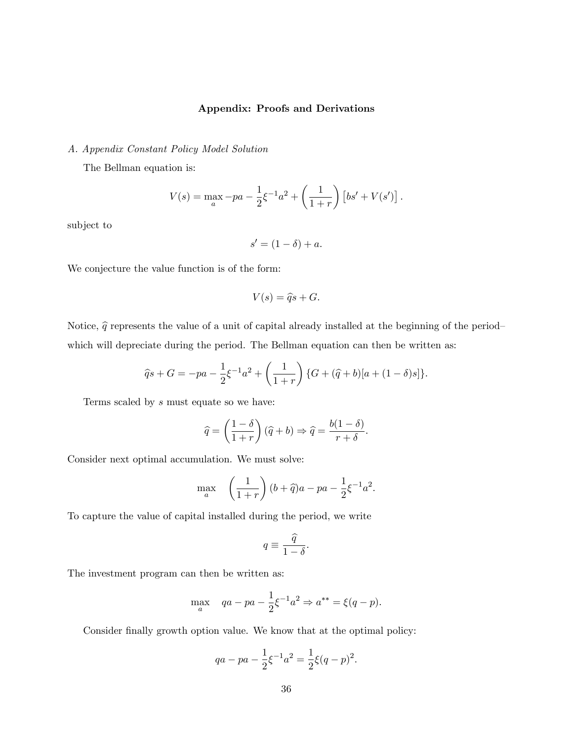### Appendix: Proofs and Derivations

### A. Appendix Constant Policy Model Solution

The Bellman equation is:

$$
V(s) = \max_{a} -pa - \frac{1}{2}\xi^{-1}a^{2} + \left(\frac{1}{1+r}\right)\left[bs' + V(s')\right].
$$

subject to

$$
s' = (1 - \delta) + a
$$

We conjecture the value function is of the form:

$$
V(s) = \hat{q}s + G.
$$

Notice,  $\hat{q}$  represents the value of a unit of capital already installed at the beginning of the periodwhich will depreciate during the period. The Bellman equation can then be written as:

$$
\widehat{q}s + G = -pa - \frac{1}{2}\xi^{-1}a^2 + \left(\frac{1}{1+r}\right)\{G + (\widehat{q}+b)[a+(1-\delta)s]\}.
$$

Terms scaled by s must equate so we have:

$$
\widehat{q} = \left(\frac{1-\delta}{1+r}\right)(\widehat{q}+b) \Rightarrow \widehat{q} = \frac{b(1-\delta)}{r+\delta}.
$$

Consider next optimal accumulation. We must solve:

$$
\max_{a} \quad \left(\frac{1}{1+r}\right)(b+\widehat{q})a - pa - \frac{1}{2}\xi^{-1}a^2.
$$

To capture the value of capital installed during the period, we write

$$
q \equiv \frac{\widehat{q}}{1 - \delta}.
$$

The investment program can then be written as:

$$
\max_{a} \quad qa - pa - \frac{1}{2}\xi^{-1}a^2 \Rightarrow a^{**} = \xi(q - p).
$$

Consider finally growth option value. We know that at the optimal policy:

$$
qa - pa - \frac{1}{2}\xi^{-1}a^2 = \frac{1}{2}\xi(q - p)^2.
$$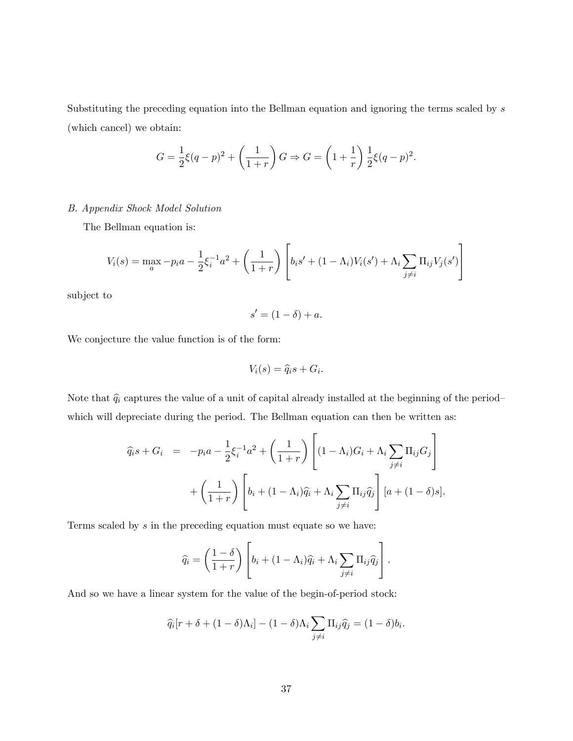Substituting the preceding equation into the Bellman equation and ignoring the terms scaled by s (which cancel) we obtain:

$$
G = \frac{1}{2}\xi(q-p)^2 + \left(\frac{1}{1+r}\right)G \Rightarrow G = \left(1 + \frac{1}{r}\right)\frac{1}{2}\xi(q-p)^2.
$$

### B. Appendix Shock Model Solution

The Bellman equation is:

$$
V_i(s) = \max_{a} -p_i a - \frac{1}{2} \xi_i^{-1} a^2 + \left(\frac{1}{1+r}\right) \left[ b_i s' + (1-\Lambda_i) V_i(s') + \Lambda_i \sum_{j \neq i} \Pi_{ij} V_j(s') \right]
$$

subject to

$$
s' = (1 - \delta) + a.
$$

We conjecture the value function is of the form:

$$
V_i(s) = \hat{q}_i s + G_i.
$$

Note that  $\hat{q}_i$  captures the value of a unit of capital already installed at the beginning of the periodwhich will depreciate during the period. The Bellman equation can then be written as:

$$
\widehat{q}_i s + G_i = -p_i a - \frac{1}{2} \xi_i^{-1} a^2 + \left(\frac{1}{1+r}\right) \left[ (1-\Lambda_i) G_i + \Lambda_i \sum_{j \neq i} \Pi_{ij} G_j \right] + \left(\frac{1}{1+r}\right) \left[ b_i + (1-\Lambda_i) \widehat{q}_i + \Lambda_i \sum_{j \neq i} \Pi_{ij} \widehat{q}_j \right] [a + (1-\delta)s].
$$

Terms scaled by s in the preceding equation must equate so we have:

$$
\widehat{q}_i = \left(\frac{1-\delta}{1+r}\right) \left[ b_i + (1-\Lambda_i)\widehat{q}_i + \Lambda_i \sum_{j\neq i} \Pi_{ij}\widehat{q}_j \right].
$$

And so we have a linear system for the value of the begin-of-period stock:

$$
\widehat{q_i}[r+\delta+(1-\delta)\Lambda_i] - (1-\delta)\Lambda_i \sum_{j\neq i} \Pi_{ij}\widehat{q}_j = (1-\delta)b_i.
$$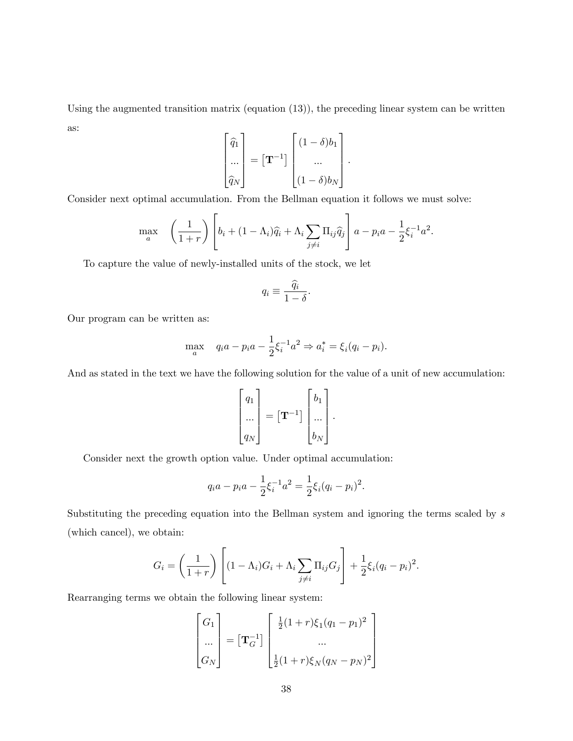Using the augmented transition matrix (equation (13)), the preceding linear system can be written as:

$$
\begin{bmatrix} \widehat{q}_1 \\ \dots \\ \widehat{q}_N \end{bmatrix} = \begin{bmatrix} \mathbf{T}^{-1} \end{bmatrix} \begin{bmatrix} (1-\delta)b_1 \\ \dots \\ (1-\delta)b_N \end{bmatrix}.
$$

Consider next optimal accumulation. From the Bellman equation it follows we must solve:

$$
\max_{a} \quad \left(\frac{1}{1+r}\right) \left[ b_i + (1-\Lambda_i)\widehat{q}_i + \Lambda_i \sum_{j\neq i} \Pi_{ij}\widehat{q}_j \right] a - p_i a - \frac{1}{2} \xi_i^{-1} a^2.
$$

To capture the value of newly-installed units of the stock, we let

$$
q_i \equiv \frac{\widehat{q}_i}{1 - \delta}.
$$

Our program can be written as:

$$
\max_{a} \quad q_{i}a - p_{i}a - \frac{1}{2}\xi_{i}^{-1}a^{2} \Rightarrow a_{i}^{*} = \xi_{i}(q_{i} - p_{i}).
$$

And as stated in the text we have the following solution for the value of a unit of new accumulation:

$$
\begin{bmatrix} q_1 \\ \dots \\ q_N \end{bmatrix} = \begin{bmatrix} \mathbf{T}^{-1} \end{bmatrix} \begin{bmatrix} b_1 \\ \dots \\ b_N \end{bmatrix}.
$$

Consider next the growth option value. Under optimal accumulation:

$$
q_i a - p_i a - \frac{1}{2} \xi_i^{-1} a^2 = \frac{1}{2} \xi_i (q_i - p_i)^2.
$$

Substituting the preceding equation into the Bellman system and ignoring the terms scaled by s (which cancel), we obtain:

$$
G_i = \left(\frac{1}{1+r}\right) \left[ (1-\Lambda_i)G_i + \Lambda_i \sum_{j\neq i} \Pi_{ij} G_j \right] + \frac{1}{2} \xi_i (q_i - p_i)^2.
$$

Rearranging terms we obtain the following linear system:

$$
\begin{bmatrix} G_1 \\ \dots \\ G_N \end{bmatrix} = \left[ \mathbf{T}_G^{-1} \right] \begin{bmatrix} \frac{1}{2}(1+r)\xi_1(q_1-p_1)^2 \\ \dots \\ \frac{1}{2}(1+r)\xi_N(q_N-p_N)^2 \end{bmatrix}
$$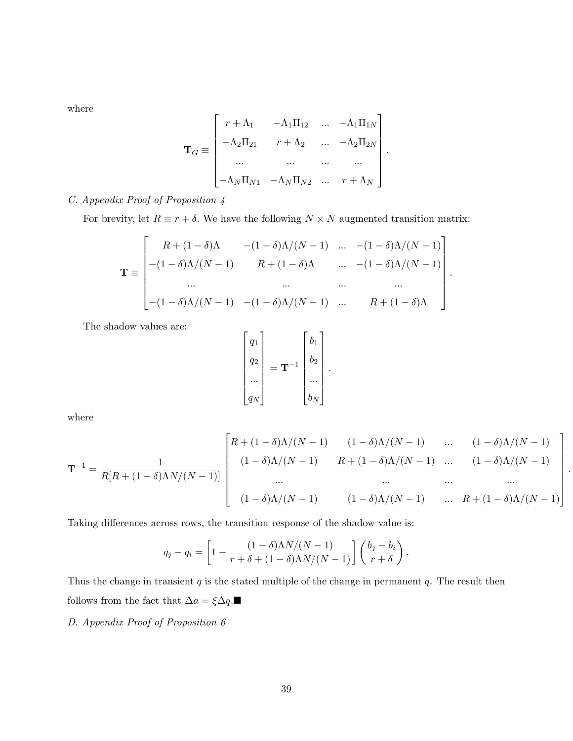where

$$
\mathbf{T}_G \equiv \begin{bmatrix} r + \Lambda_1 & -\Lambda_1 \Pi_{12} & \dots & -\Lambda_1 \Pi_{1N} \\ -\Lambda_2 \Pi_{21} & r + \Lambda_2 & \dots & -\Lambda_2 \Pi_{2N} \\ \dots & \dots & \dots & \dots \\ -\Lambda_N \Pi_{N1} & -\Lambda_N \Pi_{N2} & \dots & r + \Lambda_N \end{bmatrix}.
$$

# C. Appendix Proof of Proposition 4

For brevity, let  $R \equiv r + \delta$ . We have the following  $N \times N$  augmented transition matrix:

$$
\mathbf{T} \equiv \begin{bmatrix} R + (1 - \delta)\Lambda & -(1 - \delta)\Lambda/(N - 1) & \dots & -(1 - \delta)\Lambda/(N - 1) \\ -(1 - \delta)\Lambda/(N - 1) & R + (1 - \delta)\Lambda & \dots & -(1 - \delta)\Lambda/(N - 1) \\ \dots & \dots & \dots & \dots \\ -(1 - \delta)\Lambda/(N - 1) & -(1 - \delta)\Lambda/(N - 1) & \dots & R + (1 - \delta)\Lambda \end{bmatrix}
$$

:

:

The shadow values are:

$$
\begin{bmatrix} q_1 \\ q_2 \\ \dots \\ q_N \end{bmatrix} = \mathbf{T}^{-1} \begin{bmatrix} b_1 \\ b_2 \\ \dots \\ b_N \end{bmatrix}.
$$

where

$$
\mathbf{T}^{-1} = \frac{1}{R[R + (1 - \delta)\Lambda/(N - 1)]} \begin{bmatrix} R + (1 - \delta)\Lambda/(N - 1) & (1 - \delta)\Lambda/(N - 1) & \dots & (1 - \delta)\Lambda/(N - 1) \\ (1 - \delta)\Lambda/(N - 1) & R + (1 - \delta)\Lambda/(N - 1) & \dots & (1 - \delta)\Lambda/(N - 1) \\ \dots & \dots & \dots & \dots \\ (1 - \delta)\Lambda/(N - 1) & (1 - \delta)\Lambda/(N - 1) & \dots & R + (1 - \delta)\Lambda/(N - 1) \end{bmatrix}.
$$

Taking differences across rows, the transition response of the shadow value is:

$$
q_j - q_i = \left[1 - \frac{(1 - \delta)\Lambda N/(N - 1)}{r + \delta + (1 - \delta)\Lambda N/(N - 1)}\right] \left(\frac{b_j - b_i}{r + \delta}\right)
$$

Thus the change in transient  $q$  is the stated multiple of the change in permanent  $q$ . The result then follows from the fact that  $\Delta a = \xi \Delta q. \blacksquare$ 

# D. Appendix Proof of Proposition 6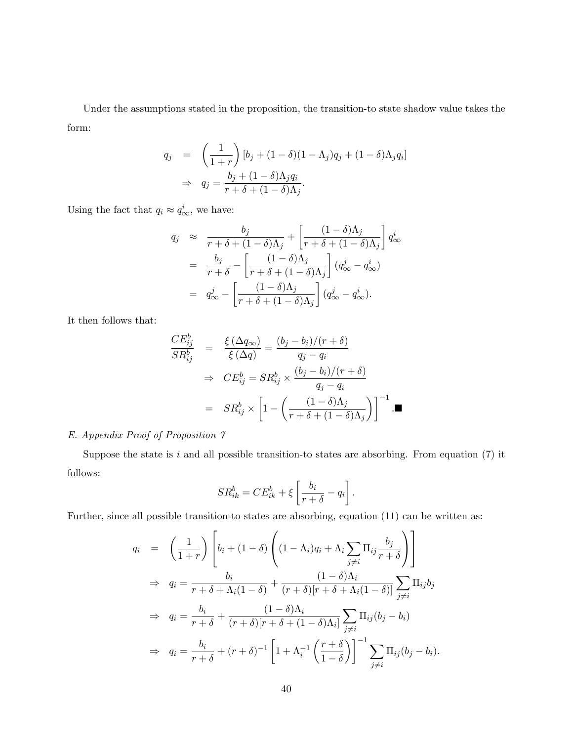Under the assumptions stated in the proposition, the transition-to state shadow value takes the form:

$$
q_j = \left(\frac{1}{1+r}\right)[b_j + (1-\delta)(1-\Lambda_j)q_j + (1-\delta)\Lambda_j q_i]
$$
  
\n
$$
\Rightarrow q_j = \frac{b_j + (1-\delta)\Lambda_j q_i}{r+\delta + (1-\delta)\Lambda_j}.
$$

Using the fact that  $q_i \approx q_\infty^i$ , we have:

$$
q_j \approx \frac{b_j}{r + \delta + (1 - \delta)\Lambda_j} + \left[\frac{(1 - \delta)\Lambda_j}{r + \delta + (1 - \delta)\Lambda_j}\right] q_\infty^i
$$
  
= 
$$
\frac{b_j}{r + \delta} - \left[\frac{(1 - \delta)\Lambda_j}{r + \delta + (1 - \delta)\Lambda_j}\right] (q_\infty^j - q_\infty^i)
$$
  
= 
$$
q_\infty^j - \left[\frac{(1 - \delta)\Lambda_j}{r + \delta + (1 - \delta)\Lambda_j}\right] (q_\infty^j - q_\infty^i).
$$

It then follows that:

$$
\frac{CE_{ij}^b}{SR_{ij}^b} = \frac{\xi (\Delta q_{\infty})}{\xi (\Delta q)} = \frac{(b_j - b_i)/(r + \delta)}{q_j - q_i}
$$

$$
\Rightarrow CE_{ij}^b = SR_{ij}^b \times \frac{(b_j - b_i)/(r + \delta)}{q_j - q_i}
$$

$$
= SR_{ij}^b \times \left[1 - \left(\frac{(1 - \delta)\Lambda_j}{r + \delta + (1 - \delta)\Lambda_j}\right)\right]^{-1}.\blacksquare
$$

### E. Appendix Proof of Proposition 7

Suppose the state is  $i$  and all possible transition-to states are absorbing. From equation  $(7)$  it follows:

$$
SR_{ik}^{b} = CE_{ik}^{b} + \xi \left[ \frac{b_i}{r + \delta} - q_i \right].
$$

Further, since all possible transition-to states are absorbing, equation (11) can be written as:

$$
q_{i} = \left(\frac{1}{1+r}\right) \left[ b_{i} + (1-\delta) \left( (1-\Lambda_{i})q_{i} + \Lambda_{i} \sum_{j \neq i} \Pi_{ij} \frac{b_{j}}{r+\delta} \right) \right]
$$
  
\n
$$
\Rightarrow q_{i} = \frac{b_{i}}{r+\delta+\Lambda_{i}(1-\delta)} + \frac{(1-\delta)\Lambda_{i}}{(r+\delta)[r+\delta+\Lambda_{i}(1-\delta)]} \sum_{j \neq i} \Pi_{ij}b_{j}
$$
  
\n
$$
\Rightarrow q_{i} = \frac{b_{i}}{r+\delta} + \frac{(1-\delta)\Lambda_{i}}{(r+\delta)[r+\delta+(1-\delta)\Lambda_{i}]} \sum_{j \neq i} \Pi_{ij}(b_{j}-b_{i})
$$
  
\n
$$
\Rightarrow q_{i} = \frac{b_{i}}{r+\delta} + (r+\delta)^{-1} \left[ 1 + \Lambda_{i}^{-1} \left( \frac{r+\delta}{1-\delta} \right) \right]^{-1} \sum_{j \neq i} \Pi_{ij}(b_{j}-b_{i}).
$$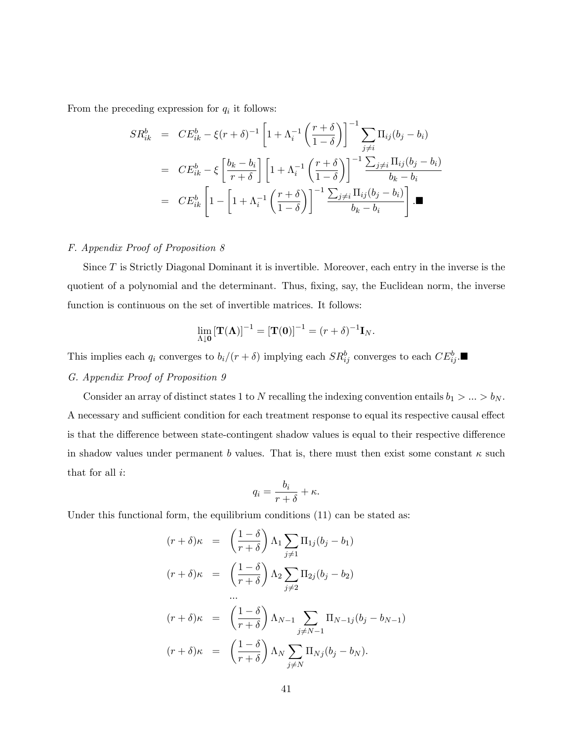From the preceding expression for  $q_i$  it follows:

$$
SR_{ik}^{b} = CE_{ik}^{b} - \xi(r+\delta)^{-1} \left[ 1 + \Lambda_{i}^{-1} \left( \frac{r+\delta}{1-\delta} \right) \right]^{-1} \sum_{j \neq i} \Pi_{ij} (b_{j} - b_{i})
$$
  

$$
= CE_{ik}^{b} - \xi \left[ \frac{b_{k} - b_{i}}{r+\delta} \right] \left[ 1 + \Lambda_{i}^{-1} \left( \frac{r+\delta}{1-\delta} \right) \right]^{-1} \frac{\sum_{j \neq i} \Pi_{ij} (b_{j} - b_{i})}{b_{k} - b_{i}}
$$
  

$$
= CE_{ik}^{b} \left[ 1 - \left[ 1 + \Lambda_{i}^{-1} \left( \frac{r+\delta}{1-\delta} \right) \right]^{-1} \frac{\sum_{j \neq i} \Pi_{ij} (b_{j} - b_{i})}{b_{k} - b_{i}} \right].
$$

### F. Appendix Proof of Proposition 8

Since  $T$  is Strictly Diagonal Dominant it is invertible. Moreover, each entry in the inverse is the quotient of a polynomial and the determinant. Thus, fixing, say, the Euclidean norm, the inverse function is continuous on the set of invertible matrices. It follows:

$$
\lim_{\Lambda\downarrow 0} \left[\mathbf{T}(\Lambda)\right]^{-1} = \left[\mathbf{T}(0)\right]^{-1} = (r+\delta)^{-1}\mathbf{I}_N.
$$

This implies each  $q_i$  converges to  $b_i/(r + \delta)$  implying each  $SR_{ij}^b$  converges to each  $CE_{ij}^b$ .

### G. Appendix Proof of Proposition 9

Consider an array of distinct states 1 to N recalling the indexing convention entails  $b_1 > ... > b_N$ . A necessary and sufficient condition for each treatment response to equal its respective causal effect is that the difference between state-contingent shadow values is equal to their respective difference in shadow values under permanent b values. That is, there must then exist some constant  $\kappa$  such that for all  $i$ :

$$
q_i = \frac{b_i}{r+\delta} + \kappa.
$$

Under this functional form, the equilibrium conditions (11) can be stated as:

$$
(r+\delta)\kappa = \left(\frac{1-\delta}{r+\delta}\right) \Lambda_1 \sum_{j\neq 1} \Pi_{1j}(b_j - b_1)
$$
  
\n
$$
(r+\delta)\kappa = \left(\frac{1-\delta}{r+\delta}\right) \Lambda_2 \sum_{j\neq 2} \Pi_{2j}(b_j - b_2)
$$
  
\n...  
\n
$$
(r+\delta)\kappa = \left(\frac{1-\delta}{r+\delta}\right) \Lambda_{N-1} \sum_{j\neq N-1} \Pi_{N-1j}(b_j - b_{N-1})
$$
  
\n
$$
(r+\delta)\kappa = \left(\frac{1-\delta}{r+\delta}\right) \Lambda_N \sum_{j\neq N} \Pi_{Nj}(b_j - b_N).
$$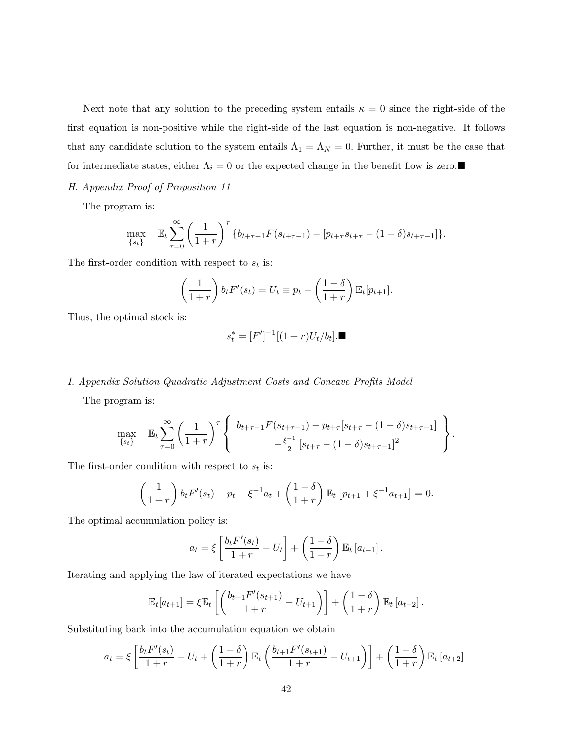Next note that any solution to the preceding system entails  $\kappa = 0$  since the right-side of the first equation is non-positive while the right-side of the last equation is non-negative. It follows that any candidate solution to the system entails  $\Lambda_1 = \Lambda_N = 0$ . Further, it must be the case that for intermediate states, either  $\Lambda_i = 0$  or the expected change in the benefit flow is zero.

### H. Appendix Proof of Proposition 11

The program is:

$$
\max_{\{s_t\}} \mathbb{E}_t \sum_{\tau=0}^{\infty} \left( \frac{1}{1+r} \right)^{\tau} \{b_{t+\tau-1} F(s_{t+\tau-1}) - [p_{t+\tau} s_{t+\tau} - (1-\delta) s_{t+\tau-1}] \}.
$$

The first-order condition with respect to  $s_t$  is:

$$
\left(\frac{1}{1+r}\right)b_tF'(s_t) = U_t \equiv p_t - \left(\frac{1-\delta}{1+r}\right)\mathbb{E}_t[p_{t+1}].
$$

Thus, the optimal stock is:

$$
s_t^* = [F']^{-1}[(1+r)U_t/b_t].\blacksquare
$$

### I. Appendix Solution Quadratic Adjustment Costs and Concave Profits Model

The program is:

$$
\max_{\{s_t\}} \quad \mathbb{E}_t \sum_{\tau=0}^{\infty} \left( \frac{1}{1+r} \right)^{\tau} \left\{ \begin{array}{c} b_{t+\tau-1} F(s_{t+\tau-1}) - p_{t+\tau} [s_{t+\tau} - (1-\delta)s_{t+\tau-1}] \\ -\frac{\xi^{-1}}{2} [s_{t+\tau} - (1-\delta)s_{t+\tau-1}]^2 \end{array} \right\}.
$$

The first-order condition with respect to  $s_t$  is:

$$
\left(\frac{1}{1+r}\right)b_tF'(s_t) - p_t - \xi^{-1}a_t + \left(\frac{1-\delta}{1+r}\right)\mathbb{E}_t\left[p_{t+1} + \xi^{-1}a_{t+1}\right] = 0.
$$

The optimal accumulation policy is:

$$
a_t = \xi \left[ \frac{b_t F'(s_t)}{1+r} - U_t \right] + \left( \frac{1-\delta}{1+r} \right) \mathbb{E}_t \left[ a_{t+1} \right].
$$

Iterating and applying the law of iterated expectations we have

$$
\mathbb{E}_t[a_{t+1}] = \xi \mathbb{E}_t\left[\left(\frac{b_{t+1}F'(s_{t+1})}{1+r} - U_{t+1}\right)\right] + \left(\frac{1-\delta}{1+r}\right)\mathbb{E}_t\left[a_{t+2}\right].
$$

Substituting back into the accumulation equation we obtain

$$
a_t = \xi \left[ \frac{b_t F'(s_t)}{1+r} - U_t + \left( \frac{1-\delta}{1+r} \right) \mathbb{E}_t \left( \frac{b_{t+1} F'(s_{t+1})}{1+r} - U_{t+1} \right) \right] + \left( \frac{1-\delta}{1+r} \right) \mathbb{E}_t \left[ a_{t+2} \right].
$$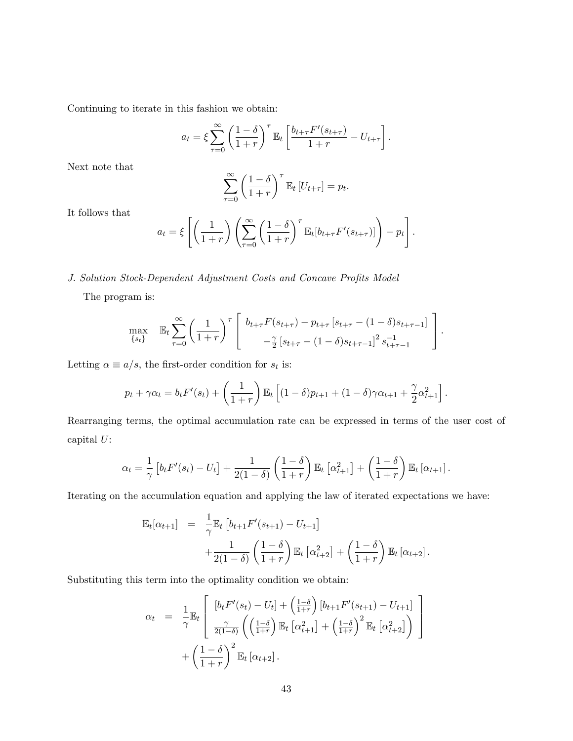Continuing to iterate in this fashion we obtain:

$$
a_t = \xi \sum_{\tau=0}^{\infty} \left( \frac{1-\delta}{1+r} \right)^{\tau} \mathbb{E}_t \left[ \frac{b_{t+\tau} F'(s_{t+\tau})}{1+r} - U_{t+\tau} \right].
$$

Next note that

$$
\sum_{\tau=0}^{\infty} \left( \frac{1-\delta}{1+r} \right)^{\tau} \mathbb{E}_t \left[ U_{t+\tau} \right] = p_t.
$$

It follows that

$$
a_t = \xi \left[ \left( \frac{1}{1+r} \right) \left( \sum_{\tau=0}^{\infty} \left( \frac{1-\delta}{1+r} \right)^{\tau} \mathbb{E}_t[b_{t+\tau} F'(s_{t+\tau})] \right) - p_t \right].
$$

### J. Solution Stock-Dependent Adjustment Costs and Concave Profits Model

The program is:

$$
\max_{\{s_t\}} \mathbb{E}_t \sum_{\tau=0}^{\infty} \left( \frac{1}{1+r} \right)^{\tau} \left[ b_{t+\tau} F(s_{t+\tau}) - p_{t+\tau} \left[ s_{t+\tau} - (1-\delta) s_{t+\tau-1} \right] \right].
$$

Letting  $\alpha \equiv a/s$ , the first-order condition for  $s_t$  is:

$$
p_t + \gamma \alpha_t = b_t F'(s_t) + \left(\frac{1}{1+r}\right) \mathbb{E}_t \left[ (1-\delta) p_{t+1} + (1-\delta) \gamma \alpha_{t+1} + \frac{\gamma}{2} \alpha_{t+1}^2 \right].
$$

Rearranging terms, the optimal accumulation rate can be expressed in terms of the user cost of capital U:

$$
\alpha_t = \frac{1}{\gamma} \left[ b_t F'(s_t) - U_t \right] + \frac{1}{2(1-\delta)} \left( \frac{1-\delta}{1+r} \right) \mathbb{E}_t \left[ \alpha_{t+1}^2 \right] + \left( \frac{1-\delta}{1+r} \right) \mathbb{E}_t \left[ \alpha_{t+1} \right].
$$

Iterating on the accumulation equation and applying the law of iterated expectations we have:

$$
\mathbb{E}_{t}[\alpha_{t+1}] = \frac{1}{\gamma} \mathbb{E}_{t} \left[ b_{t+1} F'(s_{t+1}) - U_{t+1} \right] + \frac{1}{2(1-\delta)} \left( \frac{1-\delta}{1+r} \right) \mathbb{E}_{t} \left[ \alpha_{t+2}^{2} \right] + \left( \frac{1-\delta}{1+r} \right) \mathbb{E}_{t} \left[ \alpha_{t+2} \right].
$$

Substituting this term into the optimality condition we obtain:

$$
\alpha_t = \frac{1}{\gamma} \mathbb{E}_t \left[ \frac{\left[ b_t F'(s_t) - U_t \right] + \left( \frac{1-\delta}{1+r} \right) \left[ b_{t+1} F'(s_{t+1}) - U_{t+1} \right]}{\frac{\gamma}{2(1-\delta)} \left( \left( \frac{1-\delta}{1+r} \right) \mathbb{E}_t \left[ \alpha_{t+1}^2 \right] + \left( \frac{1-\delta}{1+r} \right)^2 \mathbb{E}_t \left[ \alpha_{t+2}^2 \right] \right)} \right] + \left( \frac{1-\delta}{1+r} \right)^2 \mathbb{E}_t \left[ \alpha_{t+2} \right].
$$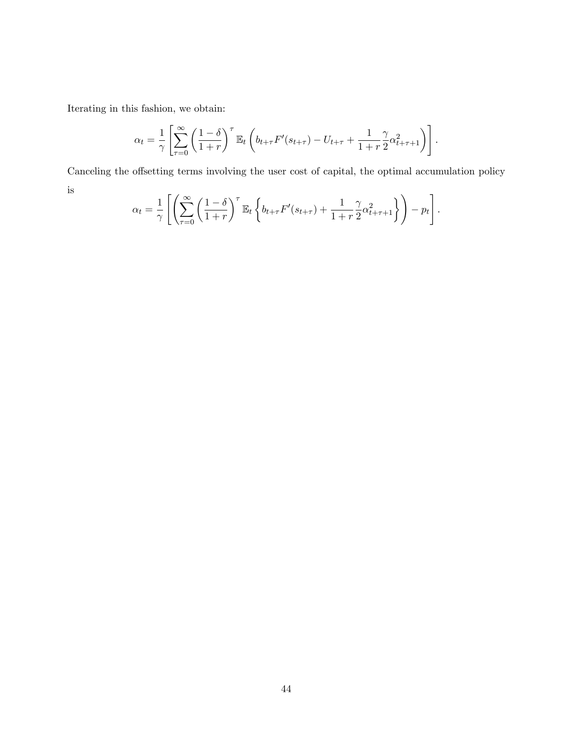Iterating in this fashion, we obtain:

$$
\alpha_t = \frac{1}{\gamma} \left[ \sum_{\tau=0}^{\infty} \left( \frac{1-\delta}{1+r} \right)^{\tau} \mathbb{E}_t \left( b_{t+\tau} F'(s_{t+\tau}) - U_{t+\tau} + \frac{1}{1+r} \frac{\gamma}{2} \alpha_{t+\tau+1}^2 \right) \right].
$$

Canceling the offsetting terms involving the user cost of capital, the optimal accumulation policy

is

$$
\alpha_t = \frac{1}{\gamma} \left[ \left( \sum_{\tau=0}^{\infty} \left( \frac{1-\delta}{1+r} \right)^{\tau} \mathbb{E}_t \left\{ b_{t+\tau} F'(s_{t+\tau}) + \frac{1}{1+r} \frac{\gamma}{2} \alpha_{t+\tau+1}^2 \right\} \right) - p_t \right].
$$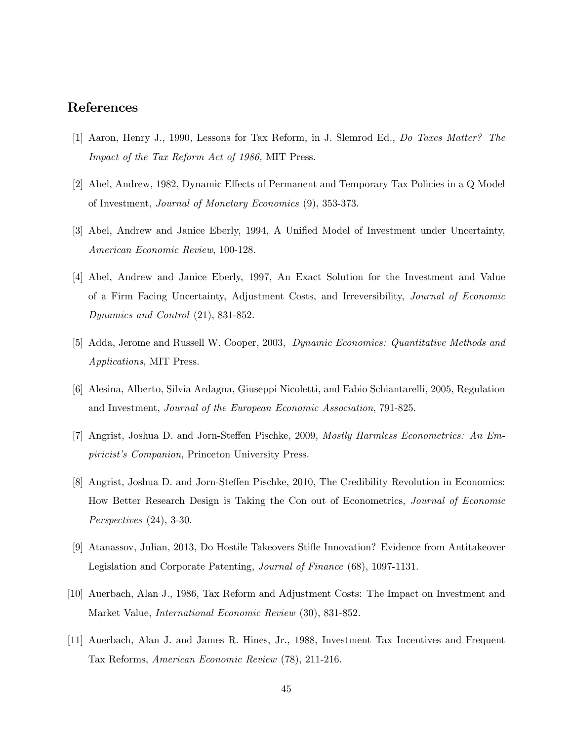# References

- [1] Aaron, Henry J., 1990, Lessons for Tax Reform, in J. Slemrod Ed., Do Taxes Matter? The Impact of the Tax Reform Act of 1986, MIT Press.
- [2] Abel, Andrew, 1982, Dynamic Effects of Permanent and Temporary Tax Policies in a Q Model of Investment, Journal of Monetary Economics (9), 353-373.
- [3] Abel, Andrew and Janice Eberly, 1994, A Unified Model of Investment under Uncertainty, American Economic Review, 100-128.
- [4] Abel, Andrew and Janice Eberly, 1997, An Exact Solution for the Investment and Value of a Firm Facing Uncertainty, Adjustment Costs, and Irreversibility, Journal of Economic Dynamics and Control (21), 831-852.
- [5] Adda, Jerome and Russell W. Cooper, 2003, Dynamic Economics: Quantitative Methods and Applications, MIT Press.
- [6] Alesina, Alberto, Silvia Ardagna, Giuseppi Nicoletti, and Fabio Schiantarelli, 2005, Regulation and Investment, Journal of the European Economic Association, 791-825.
- [7] Angrist, Joshua D. and Jorn-Steffen Pischke, 2009, *Mostly Harmless Econometrics: An Em*piricist's Companion, Princeton University Press.
- [8] Angrist, Joshua D. and Jorn-Steffen Pischke, 2010, The Credibility Revolution in Economics: How Better Research Design is Taking the Con out of Econometrics, Journal of Economic Perspectives (24), 3-30.
- [9] Atanassov, Julian, 2013, Do Hostile Takeovers Stiáe Innovation? Evidence from Antitakeover Legislation and Corporate Patenting, Journal of Finance (68), 1097-1131.
- [10] Auerbach, Alan J., 1986, Tax Reform and Adjustment Costs: The Impact on Investment and Market Value, International Economic Review (30), 831-852.
- [11] Auerbach, Alan J. and James R. Hines, Jr., 1988, Investment Tax Incentives and Frequent Tax Reforms, American Economic Review (78), 211-216.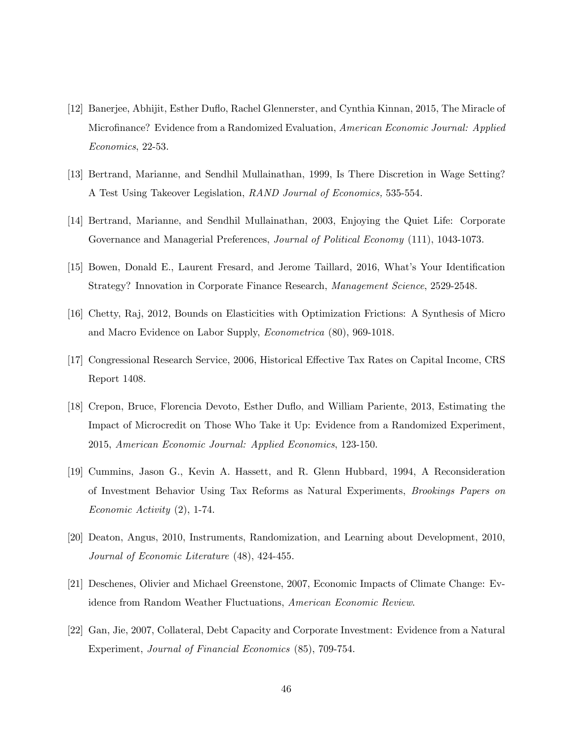- [12] Banerjee, Abhijit, Esther Duáo, Rachel Glennerster, and Cynthia Kinnan, 2015, The Miracle of Microfinance? Evidence from a Randomized Evaluation, American Economic Journal: Applied Economics, 22-53.
- [13] Bertrand, Marianne, and Sendhil Mullainathan, 1999, Is There Discretion in Wage Setting? A Test Using Takeover Legislation, RAND Journal of Economics, 535-554.
- [14] Bertrand, Marianne, and Sendhil Mullainathan, 2003, Enjoying the Quiet Life: Corporate Governance and Managerial Preferences, *Journal of Political Economy* (111), 1043-1073.
- [15] Bowen, Donald E., Laurent Fresard, and Jerome Taillard, 2016, What's Your Identification Strategy? Innovation in Corporate Finance Research, Management Science, 2529-2548.
- [16] Chetty, Raj, 2012, Bounds on Elasticities with Optimization Frictions: A Synthesis of Micro and Macro Evidence on Labor Supply, Econometrica (80), 969-1018.
- [17] Congressional Research Service, 2006, Historical Effective Tax Rates on Capital Income, CRS Report 1408.
- [18] Crepon, Bruce, Florencia Devoto, Esther Duflo, and William Pariente, 2013, Estimating the Impact of Microcredit on Those Who Take it Up: Evidence from a Randomized Experiment, 2015, American Economic Journal: Applied Economics, 123-150.
- [19] Cummins, Jason G., Kevin A. Hassett, and R. Glenn Hubbard, 1994, A Reconsideration of Investment Behavior Using Tax Reforms as Natural Experiments, Brookings Papers on Economic Activity (2), 1-74.
- [20] Deaton, Angus, 2010, Instruments, Randomization, and Learning about Development, 2010, Journal of Economic Literature (48), 424-455.
- [21] Deschenes, Olivier and Michael Greenstone, 2007, Economic Impacts of Climate Change: Evidence from Random Weather Fluctuations, American Economic Review.
- [22] Gan, Jie, 2007, Collateral, Debt Capacity and Corporate Investment: Evidence from a Natural Experiment, Journal of Financial Economics (85), 709-754.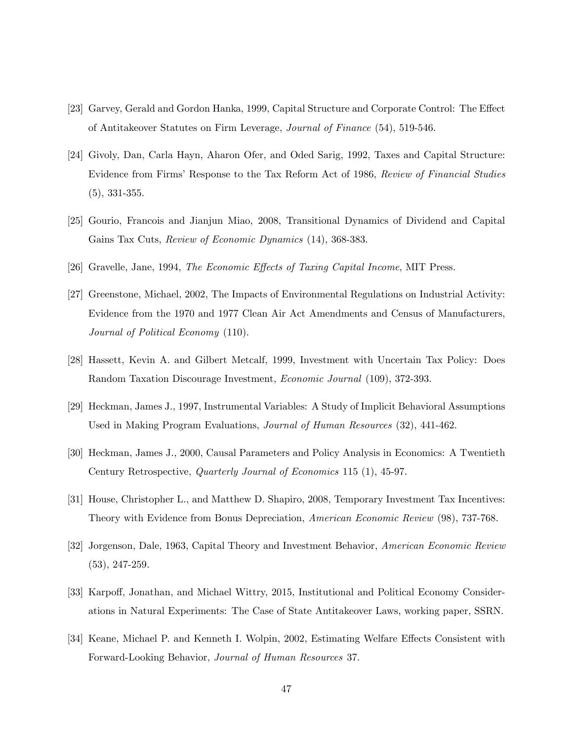- [23] Garvey, Gerald and Gordon Hanka, 1999, Capital Structure and Corporate Control: The Effect of Antitakeover Statutes on Firm Leverage, Journal of Finance (54), 519-546.
- [24] Givoly, Dan, Carla Hayn, Aharon Ofer, and Oded Sarig, 1992, Taxes and Capital Structure: Evidence from Firms' Response to the Tax Reform Act of 1986, Review of Financial Studies (5), 331-355.
- [25] Gourio, Francois and Jianjun Miao, 2008, Transitional Dynamics of Dividend and Capital Gains Tax Cuts, Review of Economic Dynamics (14), 368-383.
- [26] Gravelle, Jane, 1994, The Economic Effects of Taxing Capital Income, MIT Press.
- [27] Greenstone, Michael, 2002, The Impacts of Environmental Regulations on Industrial Activity: Evidence from the 1970 and 1977 Clean Air Act Amendments and Census of Manufacturers, Journal of Political Economy (110).
- [28] Hassett, Kevin A. and Gilbert Metcalf, 1999, Investment with Uncertain Tax Policy: Does Random Taxation Discourage Investment, Economic Journal (109), 372-393.
- [29] Heckman, James J., 1997, Instrumental Variables: A Study of Implicit Behavioral Assumptions Used in Making Program Evaluations, Journal of Human Resources (32), 441-462.
- [30] Heckman, James J., 2000, Causal Parameters and Policy Analysis in Economics: A Twentieth Century Retrospective, Quarterly Journal of Economics 115 (1), 45-97.
- [31] House, Christopher L., and Matthew D. Shapiro, 2008, Temporary Investment Tax Incentives: Theory with Evidence from Bonus Depreciation, American Economic Review (98), 737-768.
- [32] Jorgenson, Dale, 1963, Capital Theory and Investment Behavior, American Economic Review (53), 247-259.
- [33] Karpoff, Jonathan, and Michael Wittry, 2015, Institutional and Political Economy Considerations in Natural Experiments: The Case of State Antitakeover Laws, working paper, SSRN.
- [34] Keane, Michael P. and Kenneth I. Wolpin, 2002, Estimating Welfare Effects Consistent with Forward-Looking Behavior, Journal of Human Resources 37.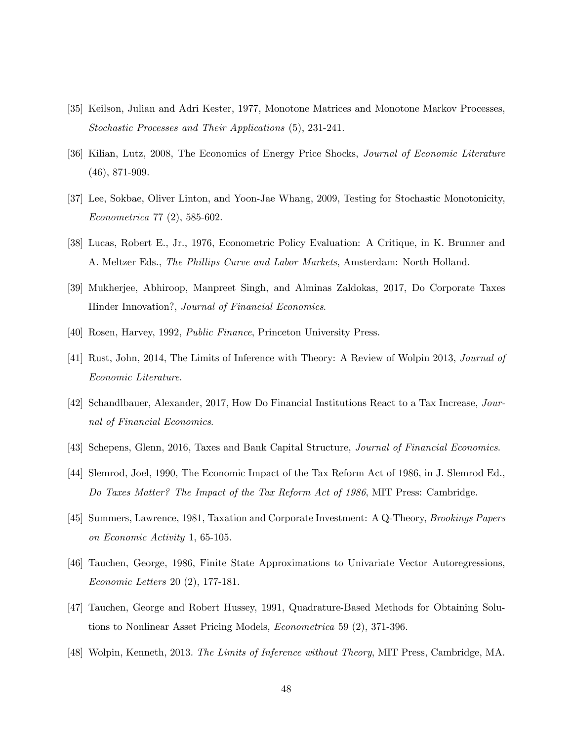- [35] Keilson, Julian and Adri Kester, 1977, Monotone Matrices and Monotone Markov Processes, Stochastic Processes and Their Applications (5), 231-241.
- [36] Kilian, Lutz, 2008, The Economics of Energy Price Shocks, Journal of Economic Literature (46), 871-909.
- [37] Lee, Sokbae, Oliver Linton, and Yoon-Jae Whang, 2009, Testing for Stochastic Monotonicity, Econometrica 77 (2), 585-602.
- [38] Lucas, Robert E., Jr., 1976, Econometric Policy Evaluation: A Critique, in K. Brunner and A. Meltzer Eds., The Phillips Curve and Labor Markets, Amsterdam: North Holland.
- [39] Mukherjee, Abhiroop, Manpreet Singh, and Alminas Zaldokas, 2017, Do Corporate Taxes Hinder Innovation?, Journal of Financial Economics.
- [40] Rosen, Harvey, 1992, Public Finance, Princeton University Press.
- [41] Rust, John, 2014, The Limits of Inference with Theory: A Review of Wolpin 2013, Journal of Economic Literature.
- [42] Schandlbauer, Alexander, 2017, How Do Financial Institutions React to a Tax Increase, Journal of Financial Economics.
- [43] Schepens, Glenn, 2016, Taxes and Bank Capital Structure, Journal of Financial Economics.
- [44] Slemrod, Joel, 1990, The Economic Impact of the Tax Reform Act of 1986, in J. Slemrod Ed., Do Taxes Matter? The Impact of the Tax Reform Act of 1986, MIT Press: Cambridge.
- [45] Summers, Lawrence, 1981, Taxation and Corporate Investment: A Q-Theory, Brookings Papers on Economic Activity 1, 65-105.
- [46] Tauchen, George, 1986, Finite State Approximations to Univariate Vector Autoregressions, Economic Letters 20 (2), 177-181.
- [47] Tauchen, George and Robert Hussey, 1991, Quadrature-Based Methods for Obtaining Solutions to Nonlinear Asset Pricing Models, Econometrica 59 (2), 371-396.
- [48] Wolpin, Kenneth, 2013. The Limits of Inference without Theory, MIT Press, Cambridge, MA.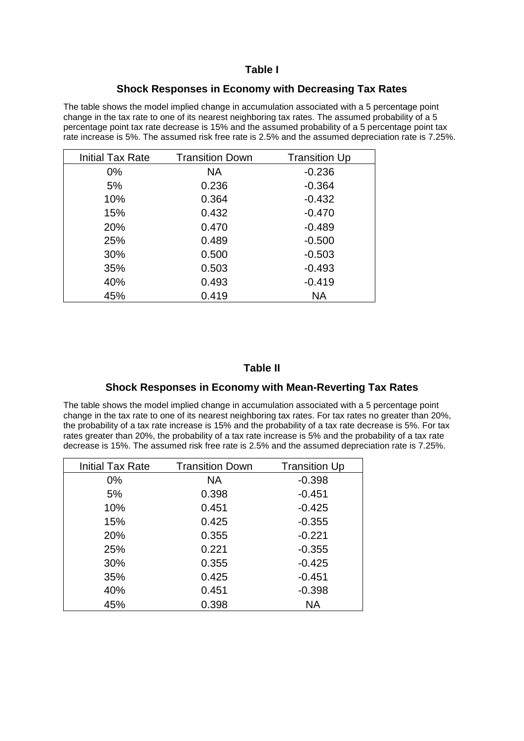# **Table I**

# **Shock Responses in Economy with Decreasing Tax Rates**

The table shows the model implied change in accumulation associated with a 5 percentage point change in the tax rate to one of its nearest neighboring tax rates. The assumed probability of a 5 percentage point tax rate decrease is 15% and the assumed probability of a 5 percentage point tax rate increase is 5%. The assumed risk free rate is 2.5% and the assumed depreciation rate is 7.25%.

| <b>Initial Tax Rate</b> | <b>Transition Down</b> | <b>Transition Up</b> |
|-------------------------|------------------------|----------------------|
| $0\%$                   | <b>NA</b>              | $-0.236$             |
| 5%                      | 0.236                  | $-0.364$             |
| 10%                     | 0.364                  | $-0.432$             |
| 15%                     | 0.432                  | $-0.470$             |
| 20%                     | 0.470                  | $-0.489$             |
| 25%                     | 0.489                  | $-0.500$             |
| 30%                     | 0.500                  | $-0.503$             |
| 35%                     | 0.503                  | $-0.493$             |
| 40%                     | 0.493                  | $-0.419$             |
| 45%                     | 0.419                  | <b>NA</b>            |

# **Table II**

### **Shock Responses in Economy with Mean-Reverting Tax Rates**

The table shows the model implied change in accumulation associated with a 5 percentage point change in the tax rate to one of its nearest neighboring tax rates. For tax rates no greater than 20%, the probability of a tax rate increase is 15% and the probability of a tax rate decrease is 5%. For tax rates greater than 20%, the probability of a tax rate increase is 5% and the probability of a tax rate decrease is 15%. The assumed risk free rate is 2.5% and the assumed depreciation rate is 7.25%.

| <b>Initial Tax Rate</b> | <b>Transition Down</b> | <b>Transition Up</b> |
|-------------------------|------------------------|----------------------|
| $0\%$                   | <b>NA</b>              | $-0.398$             |
| 5%                      | 0.398                  | $-0.451$             |
| 10%                     | 0.451                  | $-0.425$             |
| 15%                     | 0.425                  | $-0.355$             |
| 20%                     | 0.355                  | $-0.221$             |
| 25%                     | 0.221                  | $-0.355$             |
| 30%                     | 0.355                  | $-0.425$             |
| 35%                     | 0.425                  | $-0.451$             |
| 40%                     | 0.451                  | $-0.398$             |
| 45%                     | 0.398                  | <b>NA</b>            |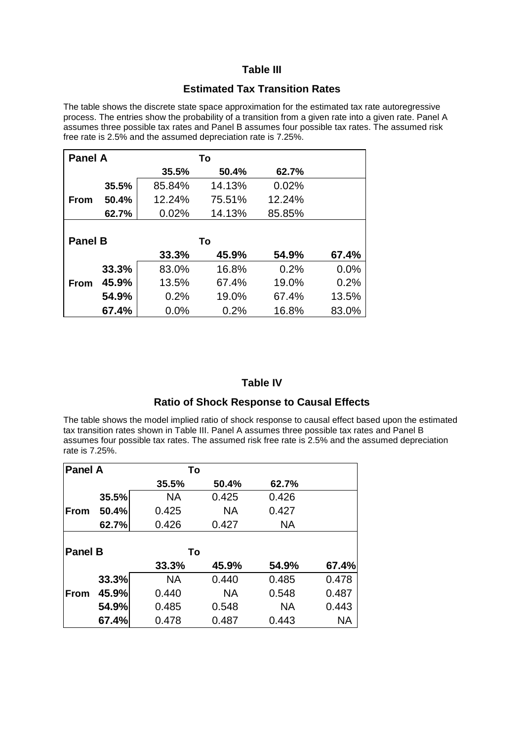# **Table III**

# **Estimated Tax Transition Rates**

The table shows the discrete state space approximation for the estimated tax rate autoregressive process. The entries show the probability of a transition from a given rate into a given rate. Panel A assumes three possible tax rates and Panel B assumes four possible tax rates. The assumed risk free rate is 2.5% and the assumed depreciation rate is 7.25%.

| <b>Panel A</b> |                      |        | To     |        |       |
|----------------|----------------------|--------|--------|--------|-------|
|                |                      | 35.5%  | 50.4%  | 62.7%  |       |
|                | 35.5%                | 85.84% | 14.13% | 0.02%  |       |
| <b>From</b>    | 50.4%                | 12.24% | 75.51% | 12.24% |       |
|                | 62.7%                | 0.02%  | 14.13% | 85.85% |       |
|                |                      |        |        |        |       |
|                | <b>Panel B</b><br>To |        |        |        |       |
|                |                      | 33.3%  | 45.9%  | 54.9%  | 67.4% |
|                | 33.3%                | 83.0%  | 16.8%  | 0.2%   | 0.0%  |
| <b>From</b>    | 45.9%                | 13.5%  | 67.4%  | 19.0%  | 0.2%  |
|                | 54.9%                | 0.2%   | 19.0%  | 67.4%  | 13.5% |
|                | 67.4%                | 0.0%   | 0.2%   | 16.8%  | 83.0% |

# **Table IV**

# **Ratio of Shock Response to Causal Effects**

The table shows the model implied ratio of shock response to causal effect based upon the estimated tax transition rates shown in Table III. Panel A assumes three possible tax rates and Panel B assumes four possible tax rates. The assumed risk free rate is 2.5% and the assumed depreciation rate is 7.25%.

| <b>Panel A</b> |       |           | To        |           |       |
|----------------|-------|-----------|-----------|-----------|-------|
|                |       | 35.5%     | 50.4%     | 62.7%     |       |
|                | 35.5% | <b>NA</b> | 0.425     | 0.426     |       |
| <b>From</b>    | 50.4% | 0.425     | <b>NA</b> | 0.427     |       |
|                | 62.7% | 0.426     | 0.427     | <b>NA</b> |       |
|                |       |           |           |           |       |
| <b>Panel B</b> |       | To        |           |           |       |
|                |       | 33.3%     | 45.9%     | 54.9%     | 67.4% |
|                | 33.3% | <b>NA</b> | 0.440     | 0.485     | 0.478 |
| <b>From</b>    | 45.9% | 0.440     | <b>NA</b> | 0.548     | 0.487 |
|                | 54.9% | 0.485     | 0.548     | NА        | 0.443 |
|                | 67.4% | 0.478     | 0.487     | 0.443     | NА    |